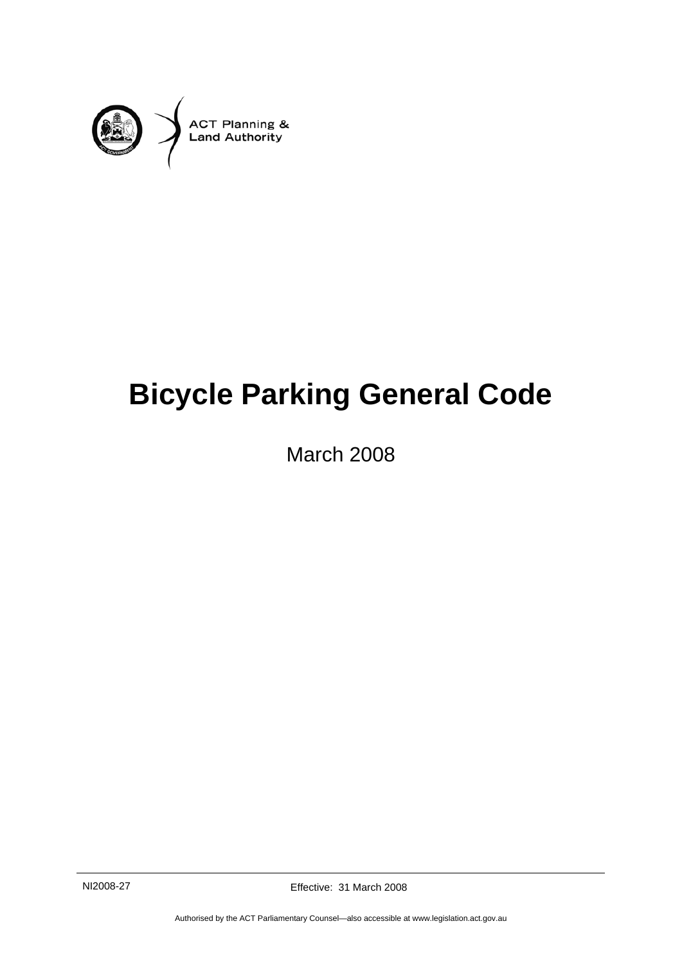

# **Bicycle Parking General Code**

March 2008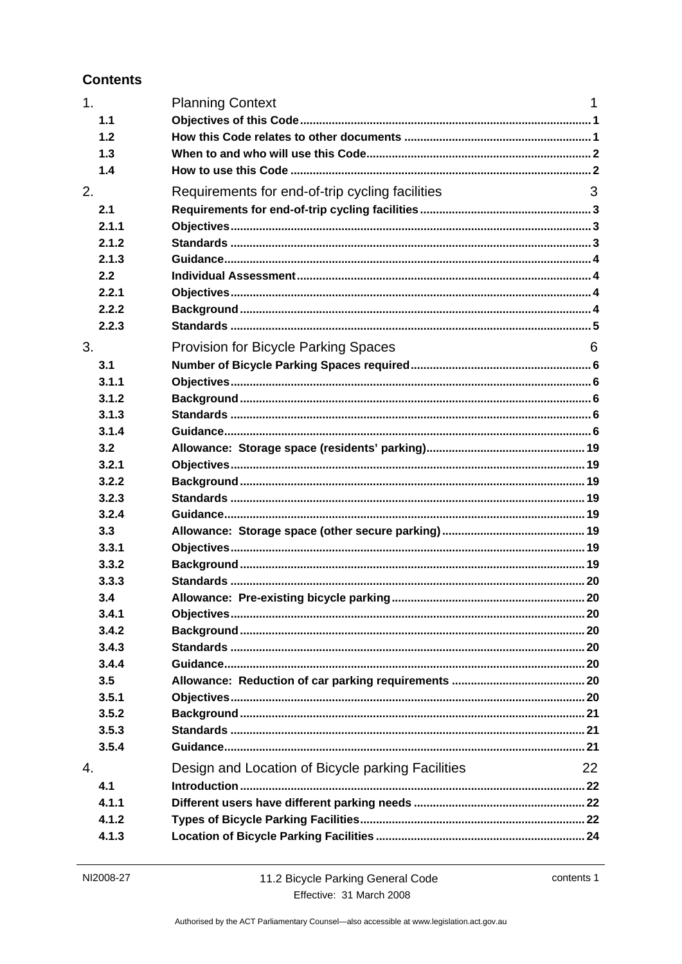### **Contents**

| 1. |       | <b>Planning Context</b>                           | 1  |
|----|-------|---------------------------------------------------|----|
|    | 1.1   |                                                   |    |
|    | 1.2   |                                                   |    |
|    | 1.3   |                                                   |    |
|    | 1.4   |                                                   |    |
| 2. |       | Requirements for end-of-trip cycling facilities   | 3  |
|    | 2.1   |                                                   |    |
|    | 2.1.1 |                                                   |    |
|    | 2.1.2 |                                                   |    |
|    | 2.1.3 |                                                   |    |
|    | 2.2   |                                                   |    |
|    | 2.2.1 |                                                   |    |
|    | 2.2.2 |                                                   |    |
|    | 2.2.3 |                                                   |    |
| 3. |       | <b>Provision for Bicycle Parking Spaces</b>       | 6  |
|    | 3.1   |                                                   |    |
|    | 3.1.1 |                                                   |    |
|    | 3.1.2 |                                                   |    |
|    | 3.1.3 |                                                   |    |
|    | 3.1.4 |                                                   |    |
|    | 3.2   |                                                   |    |
|    | 3.2.1 |                                                   |    |
|    | 3.2.2 |                                                   |    |
|    | 3.2.3 |                                                   |    |
|    | 3.2.4 |                                                   |    |
|    | 3.3   |                                                   |    |
|    | 3.3.1 |                                                   |    |
|    | 3.3.2 |                                                   |    |
|    | 3.3.3 |                                                   |    |
|    | 3.4   |                                                   |    |
|    | 3.4.1 |                                                   |    |
|    | 3.4.2 |                                                   |    |
|    | 3.4.3 |                                                   |    |
|    | 3.4.4 |                                                   |    |
|    | 3.5   |                                                   |    |
|    | 3.5.1 |                                                   |    |
|    | 3.5.2 |                                                   |    |
|    | 3.5.3 |                                                   |    |
|    | 3.5.4 |                                                   |    |
| 4. |       | Design and Location of Bicycle parking Facilities | 22 |
|    | 4.1   |                                                   |    |
|    | 4.1.1 |                                                   |    |
|    | 4.1.2 |                                                   |    |
|    | 4.1.3 |                                                   |    |
|    |       |                                                   |    |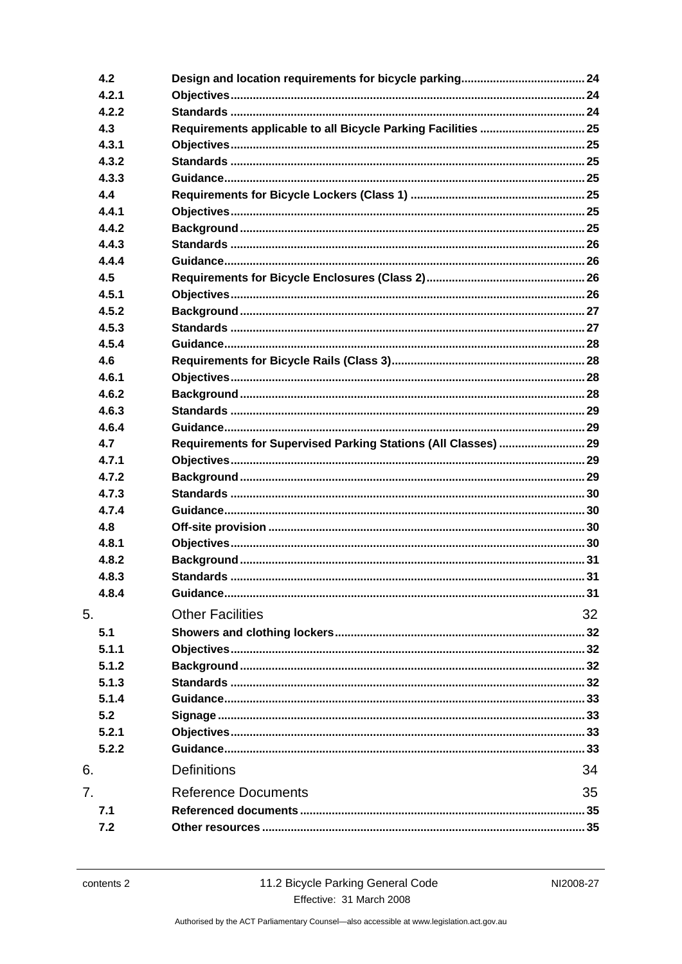|    | 4.2   |                                                                |    |
|----|-------|----------------------------------------------------------------|----|
|    | 4.2.1 |                                                                |    |
|    | 4.2.2 |                                                                |    |
|    | 4.3   | Requirements applicable to all Bicycle Parking Facilities  25  |    |
|    | 4.3.1 |                                                                |    |
|    | 4.3.2 |                                                                |    |
|    | 4.3.3 |                                                                |    |
|    | 4.4   |                                                                |    |
|    | 4.4.1 |                                                                |    |
|    | 4.4.2 |                                                                |    |
|    | 4.4.3 |                                                                |    |
|    | 4.4.4 |                                                                |    |
|    | 4.5   |                                                                |    |
|    | 4.5.1 |                                                                |    |
|    | 4.5.2 |                                                                |    |
|    | 4.5.3 |                                                                |    |
|    | 4.5.4 |                                                                |    |
|    | 4.6   |                                                                |    |
|    | 4.6.1 |                                                                |    |
|    | 4.6.2 |                                                                |    |
|    | 4.6.3 |                                                                |    |
|    | 4.6.4 |                                                                |    |
|    | 4.7   | Requirements for Supervised Parking Stations (All Classes)  29 |    |
|    | 4.7.1 |                                                                |    |
|    | 4.7.2 |                                                                |    |
|    | 4.7.3 |                                                                |    |
|    | 4.7.4 |                                                                |    |
|    | 4.8   |                                                                |    |
|    | 4.8.1 |                                                                |    |
|    | 4.8.2 |                                                                |    |
|    | 4.8.3 |                                                                |    |
|    | 4.8.4 |                                                                |    |
| 5. |       | <b>Other Facilities</b>                                        | 32 |
|    |       |                                                                |    |
|    | 5.1   |                                                                |    |
|    | 5.1.1 |                                                                |    |
|    | 5.1.2 |                                                                |    |
|    | 5.1.3 |                                                                |    |
|    | 5.1.4 |                                                                |    |
|    | 5.2   |                                                                |    |
|    | 5.2.1 |                                                                |    |
|    | 5.2.2 |                                                                |    |
| 6. |       | <b>Definitions</b>                                             | 34 |
| 7. |       | <b>Reference Documents</b>                                     | 35 |
|    | 7.1   |                                                                |    |
|    | 7.2   |                                                                |    |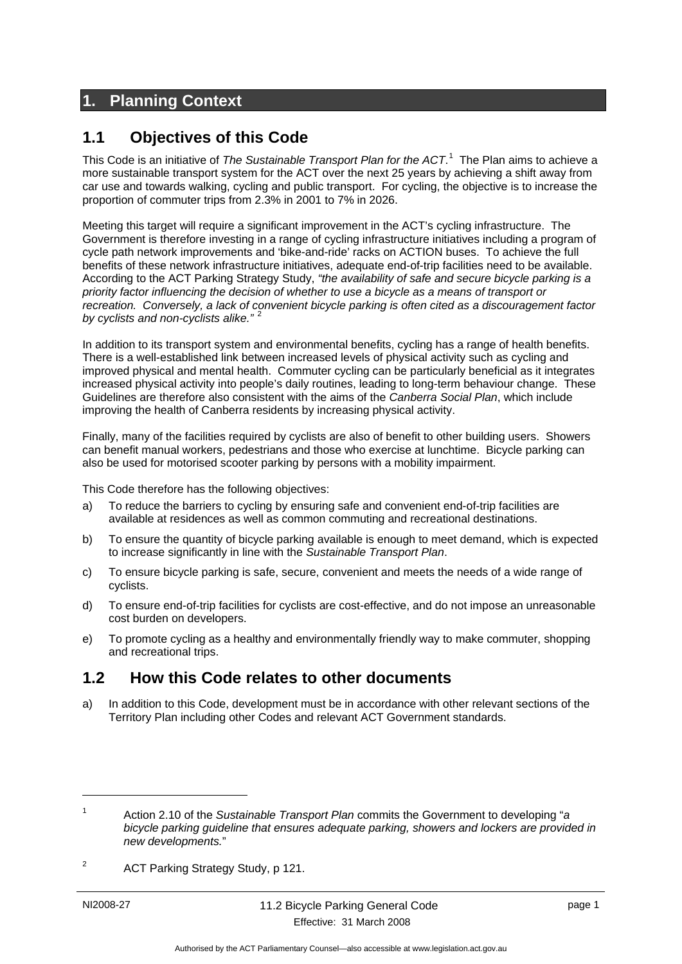# **1. Planning Context**

### **1.1 Objectives of this Code**

This Code is an initiative of *The Sustainable Transport Plan for the ACT*. 1 The Plan aims to achieve a more sustainable transport system for the ACT over the next 25 years by achieving a shift away from car use and towards walking, cycling and public transport. For cycling, the objective is to increase the proportion of commuter trips from 2.3% in 2001 to 7% in 2026.

Meeting this target will require a significant improvement in the ACT's cycling infrastructure. The Government is therefore investing in a range of cycling infrastructure initiatives including a program of cycle path network improvements and 'bike-and-ride' racks on ACTION buses. To achieve the full benefits of these network infrastructure initiatives, adequate end-of-trip facilities need to be available. According to the ACT Parking Strategy Study, *"the availability of safe and secure bicycle parking is a priority factor influencing the decision of whether to use a bicycle as a means of transport or recreation. Conversely, a lack of convenient bicycle parking is often cited as a discouragement factor by cyclists and non-cyclists alike."* <sup>2</sup>

In addition to its transport system and environmental benefits, cycling has a range of health benefits. There is a well-established link between increased levels of physical activity such as cycling and improved physical and mental health. Commuter cycling can be particularly beneficial as it integrates increased physical activity into people's daily routines, leading to long-term behaviour change. These Guidelines are therefore also consistent with the aims of the *Canberra Social Plan*, which include improving the health of Canberra residents by increasing physical activity.

Finally, many of the facilities required by cyclists are also of benefit to other building users. Showers can benefit manual workers, pedestrians and those who exercise at lunchtime. Bicycle parking can also be used for motorised scooter parking by persons with a mobility impairment.

This Code therefore has the following objectives:

- a) To reduce the barriers to cycling by ensuring safe and convenient end-of-trip facilities are available at residences as well as common commuting and recreational destinations.
- b) To ensure the quantity of bicycle parking available is enough to meet demand, which is expected to increase significantly in line with the *Sustainable Transport Plan*.
- c) To ensure bicycle parking is safe, secure, convenient and meets the needs of a wide range of cyclists.
- d) To ensure end-of-trip facilities for cyclists are cost-effective, and do not impose an unreasonable cost burden on developers.
- e) To promote cycling as a healthy and environmentally friendly way to make commuter, shopping and recreational trips.

### **1.2 How this Code relates to other documents**

a) In addition to this Code, development must be in accordance with other relevant sections of the Territory Plan including other Codes and relevant ACT Government standards.

<u>.</u>

<sup>1</sup> Action 2.10 of the *Sustainable Transport Plan* commits the Government to developing "*a bicycle parking guideline that ensures adequate parking, showers and lockers are provided in new developments.*"

 $\overline{2}$ ACT Parking Strategy Study, p 121.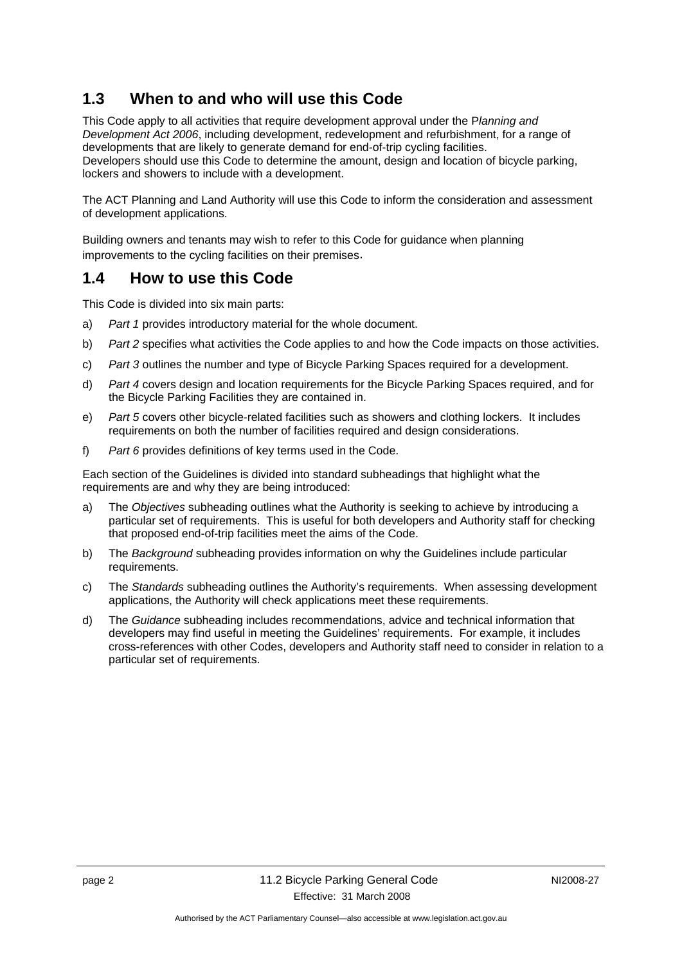# **1.3 When to and who will use this Code**

This Code apply to all activities that require development approval under the P*lanning and Development Act 2006*, including development, redevelopment and refurbishment, for a range of developments that are likely to generate demand for end-of-trip cycling facilities. Developers should use this Code to determine the amount, design and location of bicycle parking, lockers and showers to include with a development.

The ACT Planning and Land Authority will use this Code to inform the consideration and assessment of development applications.

Building owners and tenants may wish to refer to this Code for guidance when planning improvements to the cycling facilities on their premises.

### **1.4 How to use this Code**

This Code is divided into six main parts:

- a) *Part 1* provides introductory material for the whole document.
- b) *Part 2* specifies what activities the Code applies to and how the Code impacts on those activities.
- c) *Part 3* outlines the number and type of Bicycle Parking Spaces required for a development.
- d) *Part 4* covers design and location requirements for the Bicycle Parking Spaces required, and for the Bicycle Parking Facilities they are contained in.
- e) *Part 5* covers other bicycle-related facilities such as showers and clothing lockers. It includes requirements on both the number of facilities required and design considerations.
- f) *Part 6* provides definitions of key terms used in the Code.

Each section of the Guidelines is divided into standard subheadings that highlight what the requirements are and why they are being introduced:

- a) The *Objectives* subheading outlines what the Authority is seeking to achieve by introducing a particular set of requirements. This is useful for both developers and Authority staff for checking that proposed end-of-trip facilities meet the aims of the Code.
- b) The *Background* subheading provides information on why the Guidelines include particular requirements.
- c) The *Standards* subheading outlines the Authority's requirements. When assessing development applications, the Authority will check applications meet these requirements.
- d) The *Guidance* subheading includes recommendations, advice and technical information that developers may find useful in meeting the Guidelines' requirements. For example, it includes cross-references with other Codes, developers and Authority staff need to consider in relation to a particular set of requirements.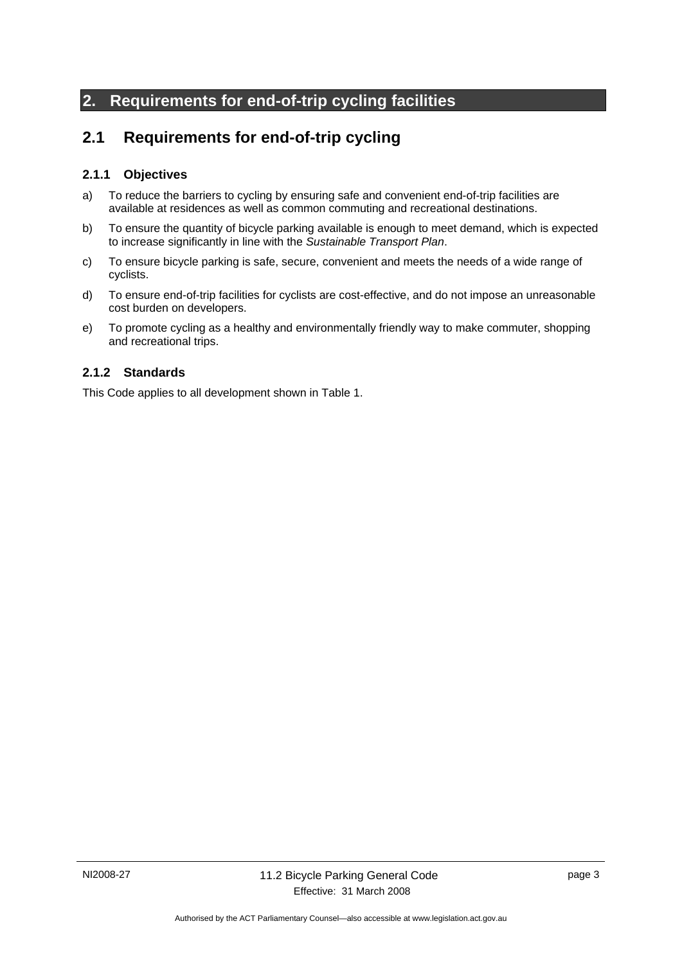# **2. Requirements for end-of-trip cycling facilities**

# **2.1 Requirements for end-of-trip cycling**

### **2.1.1 Objectives**

- a) To reduce the barriers to cycling by ensuring safe and convenient end-of-trip facilities are available at residences as well as common commuting and recreational destinations.
- b) To ensure the quantity of bicycle parking available is enough to meet demand, which is expected to increase significantly in line with the *Sustainable Transport Plan*.
- c) To ensure bicycle parking is safe, secure, convenient and meets the needs of a wide range of cyclists.
- d) To ensure end-of-trip facilities for cyclists are cost-effective, and do not impose an unreasonable cost burden on developers.
- e) To promote cycling as a healthy and environmentally friendly way to make commuter, shopping and recreational trips.

### **2.1.2 Standards**

This Code applies to all development shown in Table 1.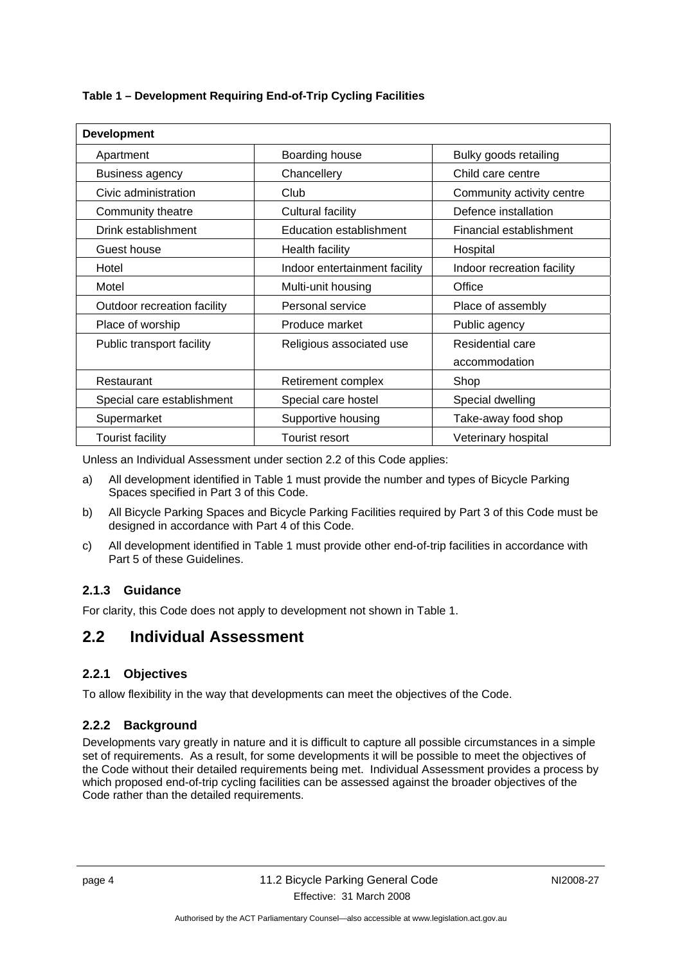| Table 1 - Development Requiring End-of-Trip Cycling Facilities |  |  |  |
|----------------------------------------------------------------|--|--|--|

| <b>Development</b>          |                                |                            |  |  |  |  |  |  |
|-----------------------------|--------------------------------|----------------------------|--|--|--|--|--|--|
| Apartment                   | Boarding house                 | Bulky goods retailing      |  |  |  |  |  |  |
| <b>Business agency</b>      | Chancellery                    | Child care centre          |  |  |  |  |  |  |
| Civic administration        | Club                           | Community activity centre  |  |  |  |  |  |  |
| Community theatre           | Cultural facility              | Defence installation       |  |  |  |  |  |  |
| Drink establishment         | <b>Education establishment</b> | Financial establishment    |  |  |  |  |  |  |
| Guest house                 | Health facility                | Hospital                   |  |  |  |  |  |  |
| Hotel                       | Indoor entertainment facility  | Indoor recreation facility |  |  |  |  |  |  |
| Motel                       | Multi-unit housing             | Office                     |  |  |  |  |  |  |
| Outdoor recreation facility | Personal service               | Place of assembly          |  |  |  |  |  |  |
| Place of worship            | Produce market                 | Public agency              |  |  |  |  |  |  |
| Public transport facility   | Religious associated use       | Residential care           |  |  |  |  |  |  |
|                             |                                | accommodation              |  |  |  |  |  |  |
| Restaurant                  | Retirement complex             | Shop                       |  |  |  |  |  |  |
| Special care establishment  | Special care hostel            | Special dwelling           |  |  |  |  |  |  |
| Supermarket                 | Supportive housing             | Take-away food shop        |  |  |  |  |  |  |
| <b>Tourist facility</b>     | <b>Tourist resort</b>          | Veterinary hospital        |  |  |  |  |  |  |

Unless an Individual Assessment under section 2.2 of this Code applies:

- a) All development identified in Table 1 must provide the number and types of Bicycle Parking Spaces specified in Part 3 of this Code.
- b) All Bicycle Parking Spaces and Bicycle Parking Facilities required by Part 3 of this Code must be designed in accordance with Part 4 of this Code.
- c) All development identified in Table 1 must provide other end-of-trip facilities in accordance with Part 5 of these Guidelines.

### **2.1.3 Guidance**

For clarity, this Code does not apply to development not shown in Table 1.

### **2.2 Individual Assessment**

### **2.2.1 Objectives**

To allow flexibility in the way that developments can meet the objectives of the Code.

### **2.2.2 Background**

Developments vary greatly in nature and it is difficult to capture all possible circumstances in a simple set of requirements. As a result, for some developments it will be possible to meet the objectives of the Code without their detailed requirements being met. Individual Assessment provides a process by which proposed end-of-trip cycling facilities can be assessed against the broader objectives of the Code rather than the detailed requirements.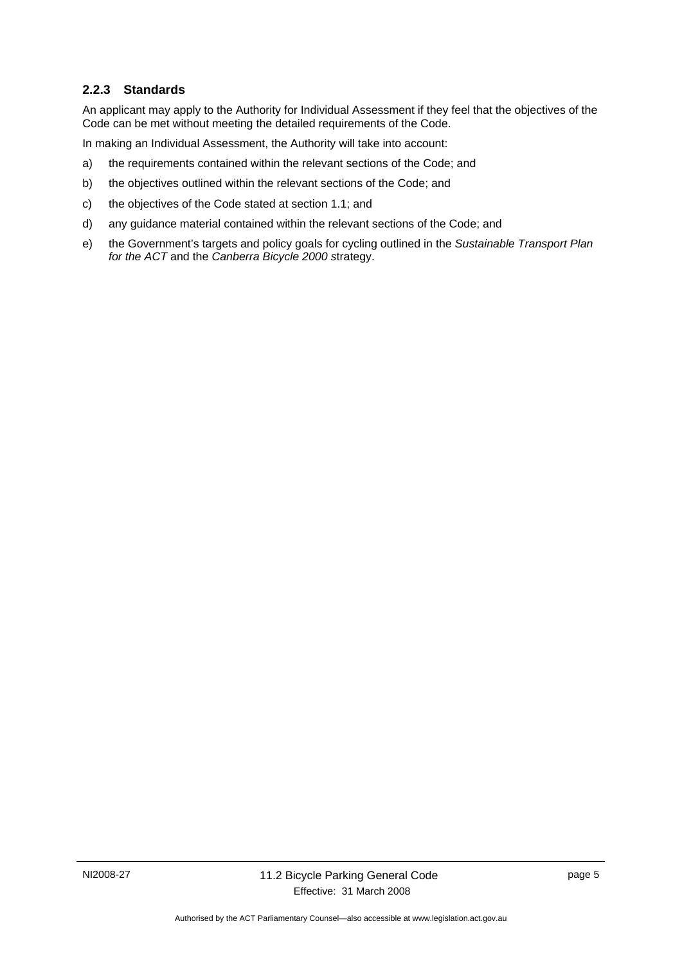### **2.2.3 Standards**

An applicant may apply to the Authority for Individual Assessment if they feel that the objectives of the Code can be met without meeting the detailed requirements of the Code.

In making an Individual Assessment, the Authority will take into account:

- a) the requirements contained within the relevant sections of the Code; and
- b) the objectives outlined within the relevant sections of the Code; and
- c) the objectives of the Code stated at section 1.1; and
- d) any guidance material contained within the relevant sections of the Code; and
- e) the Government's targets and policy goals for cycling outlined in the *Sustainable Transport Plan for the ACT* and the *Canberra Bicycle 2000 s*trategy.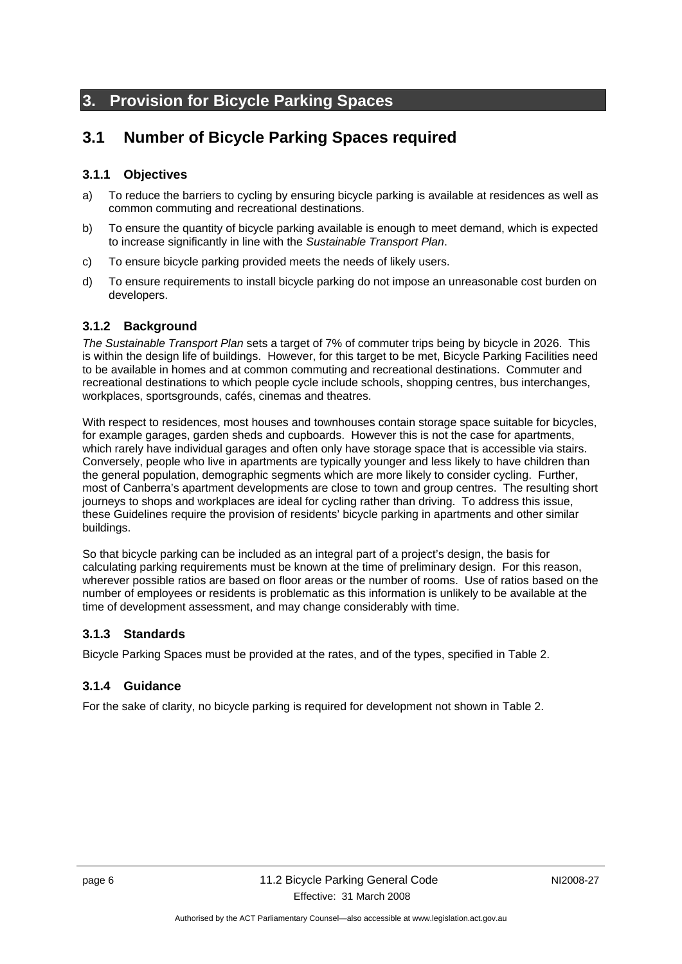# **3. Provision for Bicycle Parking Spaces**

# **3.1 Number of Bicycle Parking Spaces required**

### **3.1.1 Objectives**

- a) To reduce the barriers to cycling by ensuring bicycle parking is available at residences as well as common commuting and recreational destinations.
- b) To ensure the quantity of bicycle parking available is enough to meet demand, which is expected to increase significantly in line with the *Sustainable Transport Plan*.
- c) To ensure bicycle parking provided meets the needs of likely users.
- d) To ensure requirements to install bicycle parking do not impose an unreasonable cost burden on developers.

### **3.1.2 Background**

*The Sustainable Transport Plan* sets a target of 7% of commuter trips being by bicycle in 2026. This is within the design life of buildings. However, for this target to be met, Bicycle Parking Facilities need to be available in homes and at common commuting and recreational destinations. Commuter and recreational destinations to which people cycle include schools, shopping centres, bus interchanges, workplaces, sportsgrounds, cafés, cinemas and theatres.

With respect to residences, most houses and townhouses contain storage space suitable for bicycles, for example garages, garden sheds and cupboards. However this is not the case for apartments, which rarely have individual garages and often only have storage space that is accessible via stairs. Conversely, people who live in apartments are typically younger and less likely to have children than the general population, demographic segments which are more likely to consider cycling. Further, most of Canberra's apartment developments are close to town and group centres. The resulting short journeys to shops and workplaces are ideal for cycling rather than driving. To address this issue, these Guidelines require the provision of residents' bicycle parking in apartments and other similar buildings.

So that bicycle parking can be included as an integral part of a project's design, the basis for calculating parking requirements must be known at the time of preliminary design. For this reason, wherever possible ratios are based on floor areas or the number of rooms. Use of ratios based on the number of employees or residents is problematic as this information is unlikely to be available at the time of development assessment, and may change considerably with time.

### **3.1.3 Standards**

Bicycle Parking Spaces must be provided at the rates, and of the types, specified in Table 2.

### **3.1.4 Guidance**

For the sake of clarity, no bicycle parking is required for development not shown in Table 2.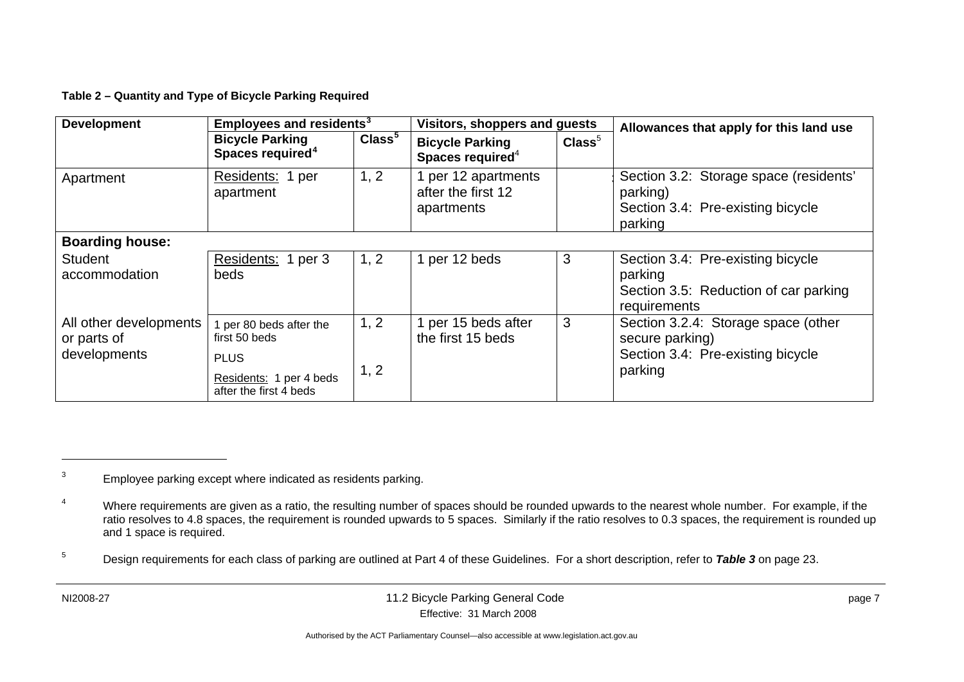**Table 2 – Quantity and Type of Bicycle Parking Required** 

| <b>Development</b>                                    | <b>Employees and residents<sup>3</sup></b>                                         |                    | Visitors, shoppers and guests                           |                    | Allowances that apply for this land use                                                                |  |  |  |  |
|-------------------------------------------------------|------------------------------------------------------------------------------------|--------------------|---------------------------------------------------------|--------------------|--------------------------------------------------------------------------------------------------------|--|--|--|--|
|                                                       | <b>Bicycle Parking</b><br>Spaces required <sup>4</sup>                             | Class <sup>5</sup> | <b>Bicycle Parking</b><br>Spaces required <sup>4</sup>  | Class <sup>5</sup> |                                                                                                        |  |  |  |  |
| Apartment                                             | Residents: 1 per<br>apartment                                                      | 1, 2               | 1 per 12 apartments<br>after the first 12<br>apartments |                    | Section 3.2: Storage space (residents'<br>parking)<br>Section 3.4: Pre-existing bicycle<br>parking     |  |  |  |  |
| <b>Boarding house:</b>                                |                                                                                    |                    |                                                         |                    |                                                                                                        |  |  |  |  |
| <b>Student</b><br>accommodation                       | Residents: 1 per 3<br>beds                                                         | 1, 2               | 1 per 12 beds                                           | 3                  | Section 3.4: Pre-existing bicycle<br>parking<br>Section 3.5: Reduction of car parking<br>requirements  |  |  |  |  |
| All other developments<br>or parts of<br>developments | 1 per 80 beds after the<br>first 50 beds<br><b>PLUS</b><br>Residents: 1 per 4 beds | 1, 2<br>1, 2       | 1 per 15 beds after<br>the first 15 beds                | 3                  | Section 3.2.4: Storage space (other<br>secure parking)<br>Section 3.4: Pre-existing bicycle<br>parking |  |  |  |  |
|                                                       | after the first 4 beds                                                             |                    |                                                         |                    |                                                                                                        |  |  |  |  |

<sup>&</sup>lt;sup>3</sup> Employee parking except where indicated as residents parking.

<sup>&</sup>lt;sup>4</sup> Where requirements are given as a ratio, the resulting number of spaces should be rounded upwards to the nearest whole number. For example, if the ratio resolves to 4.8 spaces, the requirement is rounded upwards to 5 spaces. Similarly if the ratio resolves to 0.3 spaces, the requirement is rounded up and 1 space is required.

<sup>5</sup> Design requirements for each class of parking are outlined at Part 4 of these Guidelines. For a short description, refer to *Table 3* on page 23.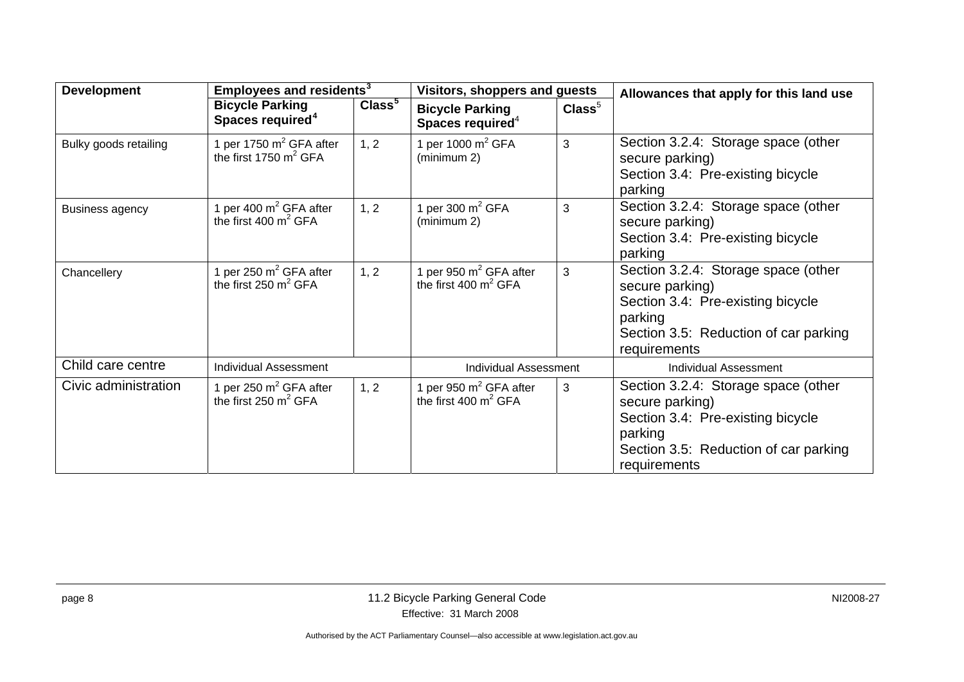| <b>Development</b>     | Employees and residents <sup>3</sup>                   |                    | Visitors, shoppers and guests                          |                  | Allowances that apply for this land use                                                                                                                         |
|------------------------|--------------------------------------------------------|--------------------|--------------------------------------------------------|------------------|-----------------------------------------------------------------------------------------------------------------------------------------------------------------|
|                        | <b>Bicycle Parking</b><br>Spaces required <sup>4</sup> | Class <sup>5</sup> | <b>Bicycle Parking</b><br>Spaces required <sup>4</sup> | $\text{Class}^5$ |                                                                                                                                                                 |
| Bulky goods retailing  | 1 per 1750 $m^2$ GFA after<br>the first 1750 $m^2$ GFA | 1, 2               | 1 per 1000 $m^2$ GFA<br>(minimum 2)                    | 3                | Section 3.2.4: Storage space (other<br>secure parking)<br>Section 3.4: Pre-existing bicycle<br>parking                                                          |
| <b>Business agency</b> | 1 per 400 $m^2$ GFA after<br>the first 400 $m^2$ GFA   | 1, 2               | per 300 $m^2$ GFA<br>(minimum 2)                       | 3                | Section 3.2.4: Storage space (other<br>secure parking)<br>Section 3.4: Pre-existing bicycle<br>parking                                                          |
| Chancellery            | 1 per 250 $m^2$ GFA after<br>the first 250 $m^2$ GFA   | 1, 2               | per 950 $m^2$ GFA after<br>the first 400 $m^2$ GFA     | 3                | Section 3.2.4: Storage space (other<br>secure parking)<br>Section 3.4: Pre-existing bicycle<br>parking<br>Section 3.5: Reduction of car parking<br>requirements |
| Child care centre      | <b>Individual Assessment</b>                           |                    | <b>Individual Assessment</b>                           |                  | <b>Individual Assessment</b>                                                                                                                                    |
| Civic administration   | 1 per 250 $m^2$ GFA after<br>the first 250 $m^2$ GFA   | 1, 2               | 1 per 950 $m2$ GFA after<br>the first 400 $m^2$ GFA    | 3                | Section 3.2.4: Storage space (other<br>secure parking)<br>Section 3.4: Pre-existing bicycle<br>parking<br>Section 3.5: Reduction of car parking<br>requirements |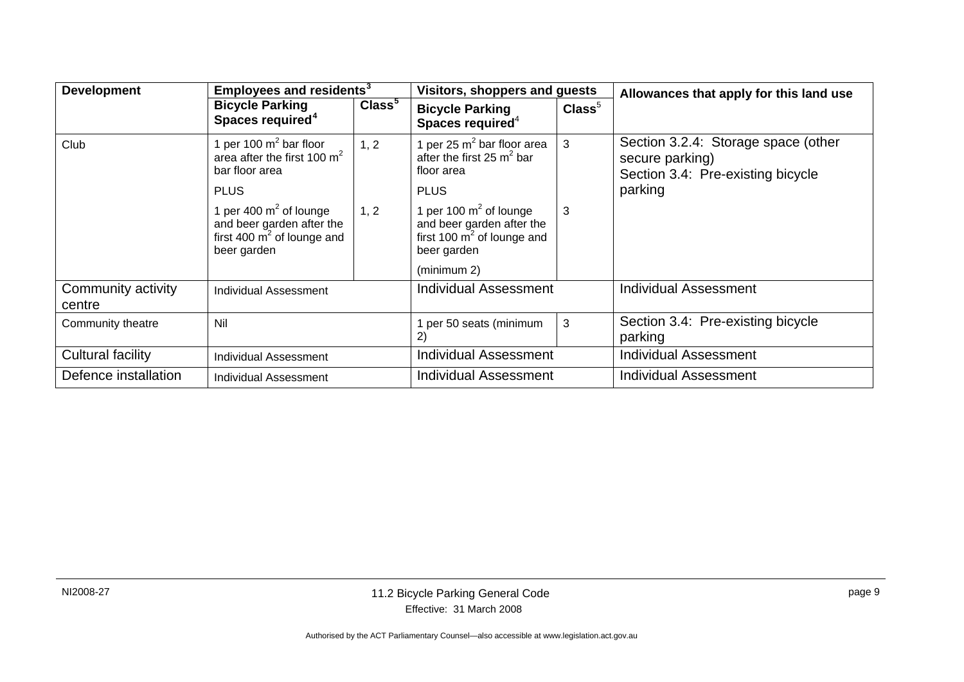| <b>Development</b>           |                                                                                                        | Employees and residents <sup>3</sup> |                                                                                                        | Visitors, shoppers and guests | Allowances that apply for this land use                                                     |
|------------------------------|--------------------------------------------------------------------------------------------------------|--------------------------------------|--------------------------------------------------------------------------------------------------------|-------------------------------|---------------------------------------------------------------------------------------------|
|                              | <b>Bicycle Parking</b><br>Spaces required <sup>4</sup>                                                 | Class <sup>5</sup>                   | <b>Bicycle Parking</b><br>Spaces required <sup>4</sup>                                                 | $\text{Class}^5$              |                                                                                             |
| Club                         | 1 per 100 $m^2$ bar floor<br>area after the first 100 $m^2$<br>bar floor area                          | 1, 2                                 | 1 per 25 $m^2$ bar floor area<br>after the first 25 $m^2$ bar<br>floor area                            | 3                             | Section 3.2.4: Storage space (other<br>secure parking)<br>Section 3.4: Pre-existing bicycle |
|                              | <b>PLUS</b>                                                                                            |                                      | <b>PLUS</b>                                                                                            |                               | parking                                                                                     |
|                              | 1 per 400 $m^2$ of lounge<br>and beer garden after the<br>first 400 $m^2$ of lounge and<br>beer garden | 1, 2                                 | 1 per 100 $m^2$ of lounge<br>and beer garden after the<br>first 100 $m^2$ of lounge and<br>beer garden | 3                             |                                                                                             |
|                              |                                                                                                        |                                      | (minimum 2)                                                                                            |                               |                                                                                             |
| Community activity<br>centre | Individual Assessment                                                                                  |                                      | Individual Assessment                                                                                  |                               | <b>Individual Assessment</b>                                                                |
| Community theatre            | Nil                                                                                                    |                                      | per 50 seats (minimum<br>2)                                                                            | 3                             | Section 3.4: Pre-existing bicycle<br>parking                                                |
| Cultural facility            | Individual Assessment                                                                                  |                                      | <b>Individual Assessment</b>                                                                           |                               | <b>Individual Assessment</b>                                                                |
| Defence installation         | Individual Assessment                                                                                  |                                      | <b>Individual Assessment</b>                                                                           |                               | <b>Individual Assessment</b>                                                                |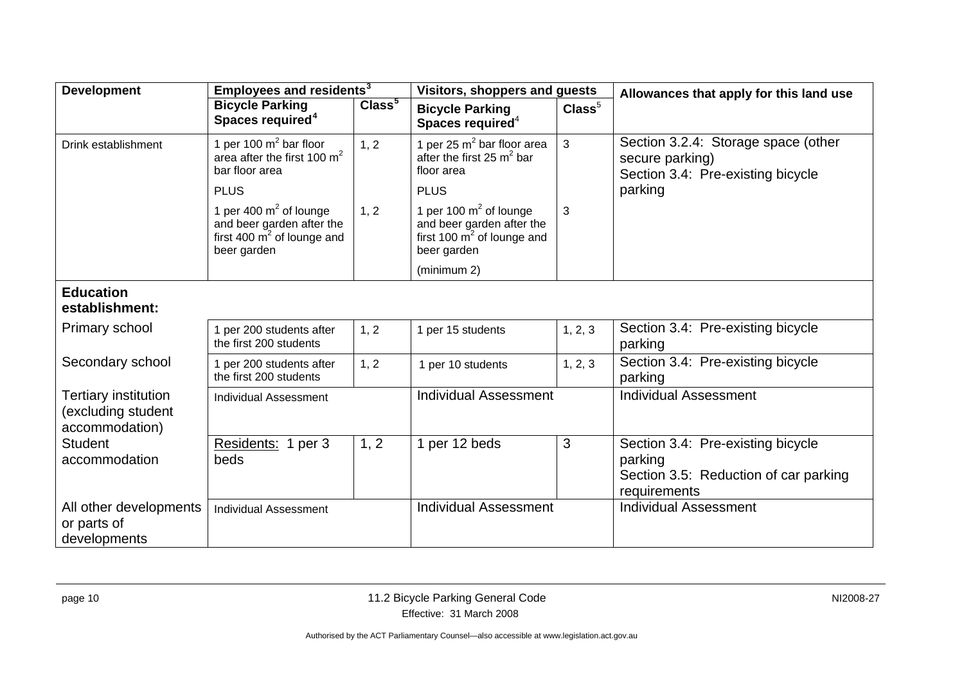| <b>Development</b>                                                  | Employees and residents <sup>3</sup>                                                                            |                    | <b>Visitors, shoppers and guests</b>                                                                              |                  | Allowances that apply for this land use                                                               |  |
|---------------------------------------------------------------------|-----------------------------------------------------------------------------------------------------------------|--------------------|-------------------------------------------------------------------------------------------------------------------|------------------|-------------------------------------------------------------------------------------------------------|--|
|                                                                     | <b>Bicycle Parking</b><br>Spaces required <sup>4</sup>                                                          | Class <sup>5</sup> | <b>Bicycle Parking</b><br>Spaces required <sup>4</sup>                                                            | $\text{Class}^5$ |                                                                                                       |  |
| Drink establishment                                                 | 1 per 100 $m^2$ bar floor<br>area after the first 100 $m^2$<br>bar floor area                                   | 1, 2               | 1 per 25 $m2$ bar floor area<br>after the first 25 $m^2$ bar<br>floor area                                        | 3                | Section 3.2.4: Storage space (other<br>secure parking)<br>Section 3.4: Pre-existing bicycle           |  |
|                                                                     | <b>PLUS</b>                                                                                                     |                    | <b>PLUS</b>                                                                                                       |                  | parking                                                                                               |  |
|                                                                     | 1 per 400 $m^2$ of lounge<br>and beer garden after the<br>first 400 $\mathrm{m}^2$ of lounge and<br>beer garden | 1, 2               | 1 per 100 $m^2$ of lounge<br>and beer garden after the<br>first 100 $\overline{m}^2$ of lounge and<br>beer garden | 3                |                                                                                                       |  |
|                                                                     |                                                                                                                 |                    | (minimum 2)                                                                                                       |                  |                                                                                                       |  |
| <b>Education</b><br>establishment:                                  |                                                                                                                 |                    |                                                                                                                   |                  |                                                                                                       |  |
| Primary school                                                      | 1 per 200 students after<br>the first 200 students                                                              | 1, 2               | 1 per 15 students                                                                                                 | 1, 2, 3          | Section 3.4: Pre-existing bicycle<br>parking                                                          |  |
| Secondary school                                                    | 1 per 200 students after<br>the first 200 students                                                              | 1, 2               | 1 per 10 students                                                                                                 | 1, 2, 3          | Section 3.4: Pre-existing bicycle<br>parking                                                          |  |
| <b>Tertiary institution</b><br>(excluding student<br>accommodation) | <b>Individual Assessment</b>                                                                                    |                    | <b>Individual Assessment</b>                                                                                      |                  | <b>Individual Assessment</b>                                                                          |  |
| <b>Student</b><br>accommodation                                     | Residents: 1 per 3<br>beds                                                                                      | 1, 2               | 1 per 12 beds                                                                                                     | 3                | Section 3.4: Pre-existing bicycle<br>parking<br>Section 3.5: Reduction of car parking<br>requirements |  |
| All other developments<br>or parts of<br>developments               | <b>Individual Assessment</b>                                                                                    |                    | <b>Individual Assessment</b>                                                                                      |                  | <b>Individual Assessment</b>                                                                          |  |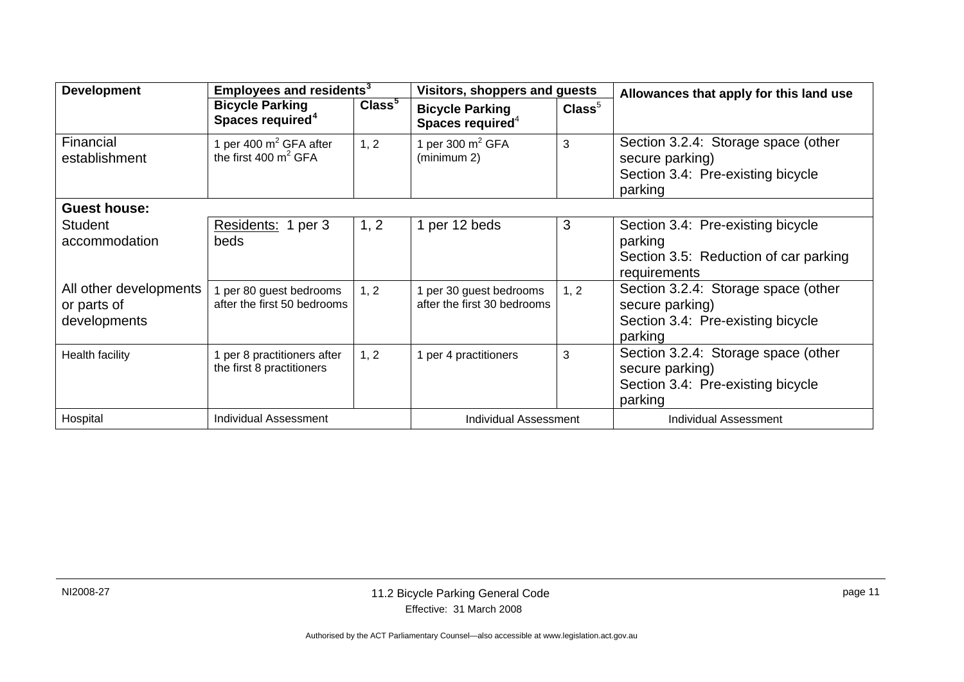| <b>Development</b>                                        | Employees and residents <sup>3</sup>                     |                    | Visitors, shoppers and guests                          |                  | Allowances that apply for this land use                                                                                                      |
|-----------------------------------------------------------|----------------------------------------------------------|--------------------|--------------------------------------------------------|------------------|----------------------------------------------------------------------------------------------------------------------------------------------|
|                                                           | <b>Bicycle Parking</b><br>Spaces required <sup>4</sup>   | Class <sup>5</sup> | <b>Bicycle Parking</b><br>Spaces required <sup>4</sup> | $\text{Class}^5$ |                                                                                                                                              |
| Financial<br>establishment                                | 1 per 400 $m^2$ GFA after<br>the first 400 $m^2$ GFA     | 1, 2               | 1 per 300 $m2 GFA$<br>(minimum 2)                      | 3                | Section 3.2.4: Storage space (other<br>secure parking)<br>Section 3.4: Pre-existing bicycle<br>parking                                       |
| <b>Guest house:</b>                                       |                                                          |                    |                                                        |                  |                                                                                                                                              |
| <b>Student</b><br>accommodation<br>All other developments | Residents: 1 per 3<br>beds<br>1 per 80 guest bedrooms    | 1, 2<br>1, 2       | 1 per 12 beds<br>1 per 30 guest bedrooms               | 3<br>1, 2        | Section 3.4: Pre-existing bicycle<br>parking<br>Section 3.5: Reduction of car parking<br>requirements<br>Section 3.2.4: Storage space (other |
| or parts of<br>developments                               | after the first 50 bedrooms                              |                    | after the first 30 bedrooms                            |                  | secure parking)<br>Section 3.4: Pre-existing bicycle<br>parking                                                                              |
| <b>Health facility</b>                                    | 1 per 8 practitioners after<br>the first 8 practitioners | 1, 2               | 1 per 4 practitioners                                  | 3                | Section 3.2.4: Storage space (other<br>secure parking)<br>Section 3.4: Pre-existing bicycle<br>parking                                       |
| Hospital                                                  | <b>Individual Assessment</b>                             |                    | <b>Individual Assessment</b>                           |                  | <b>Individual Assessment</b>                                                                                                                 |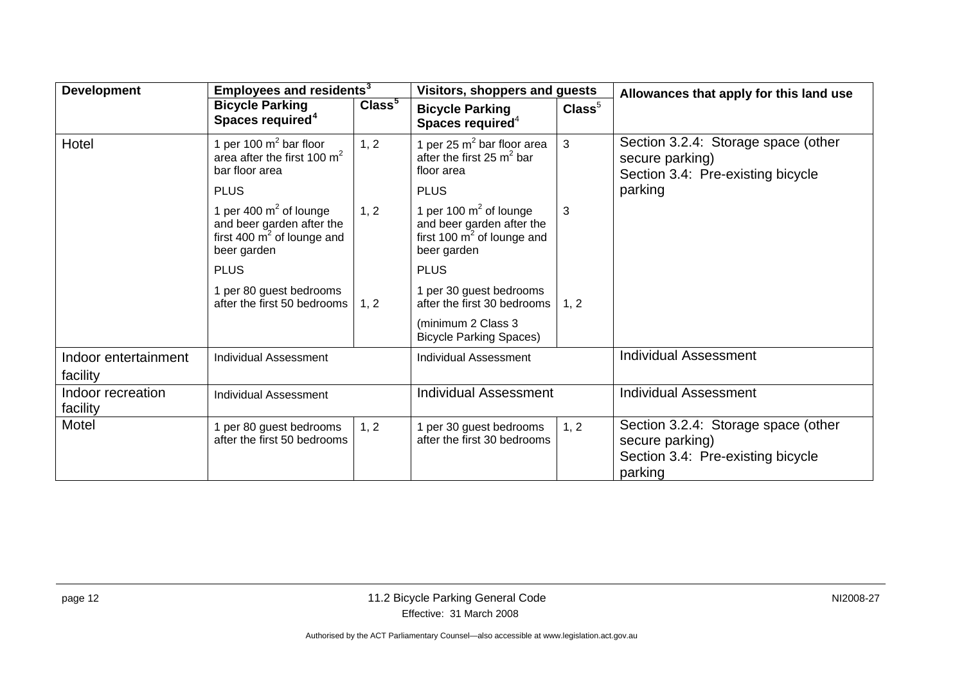| <b>Development</b>                                               | Employees and residents <sup>3</sup>                                                                            |                              | Visitors, shoppers and guests                                                                         |                              | Allowances that apply for this land use                                                                |
|------------------------------------------------------------------|-----------------------------------------------------------------------------------------------------------------|------------------------------|-------------------------------------------------------------------------------------------------------|------------------------------|--------------------------------------------------------------------------------------------------------|
|                                                                  | <b>Bicycle Parking</b><br>Spaces required <sup>4</sup>                                                          | Class <sup>5</sup>           | <b>Bicycle Parking</b><br>Spaces required $4$                                                         | $\text{Class}^5$             |                                                                                                        |
| Hotel                                                            | 1 per 100 $m^2$ bar floor<br>area after the first 100 $m^2$<br>bar floor area                                   | 1, 2                         | 1 per 25 $m2$ bar floor area<br>after the first 25 $m^2$ bar<br>floor area                            | $\mathbf{3}$                 | Section 3.2.4: Storage space (other<br>secure parking)<br>Section 3.4: Pre-existing bicycle            |
|                                                                  | <b>PLUS</b>                                                                                                     |                              | <b>PLUS</b>                                                                                           |                              | parking                                                                                                |
|                                                                  | 1 per 400 $m^2$ of lounge<br>and beer garden after the<br>first 400 $\mathrm{m}^2$ of lounge and<br>beer garden | 1, 2                         | 1 per 100 $m2$ of lounge<br>and beer garden after the<br>first 100 $m^2$ of lounge and<br>beer garden | 3                            |                                                                                                        |
|                                                                  | <b>PLUS</b>                                                                                                     |                              | <b>PLUS</b>                                                                                           |                              |                                                                                                        |
|                                                                  | 1 per 80 guest bedrooms<br>after the first 50 bedrooms                                                          | 1, 2                         | 1 per 30 guest bedrooms<br>after the first 30 bedrooms                                                | 1, 2                         |                                                                                                        |
|                                                                  |                                                                                                                 |                              | (minimum 2 Class 3<br><b>Bicycle Parking Spaces)</b>                                                  |                              |                                                                                                        |
| Indoor entertainment<br><b>Individual Assessment</b><br>facility |                                                                                                                 | <b>Individual Assessment</b> |                                                                                                       | <b>Individual Assessment</b> |                                                                                                        |
| Indoor recreation<br><b>Individual Assessment</b><br>facility    |                                                                                                                 | <b>Individual Assessment</b> |                                                                                                       | <b>Individual Assessment</b> |                                                                                                        |
| Motel                                                            | 1 per 80 guest bedrooms<br>after the first 50 bedrooms                                                          | 1, 2                         | per 30 guest bedrooms<br>after the first 30 bedrooms                                                  | 1, 2                         | Section 3.2.4: Storage space (other<br>secure parking)<br>Section 3.4: Pre-existing bicycle<br>parking |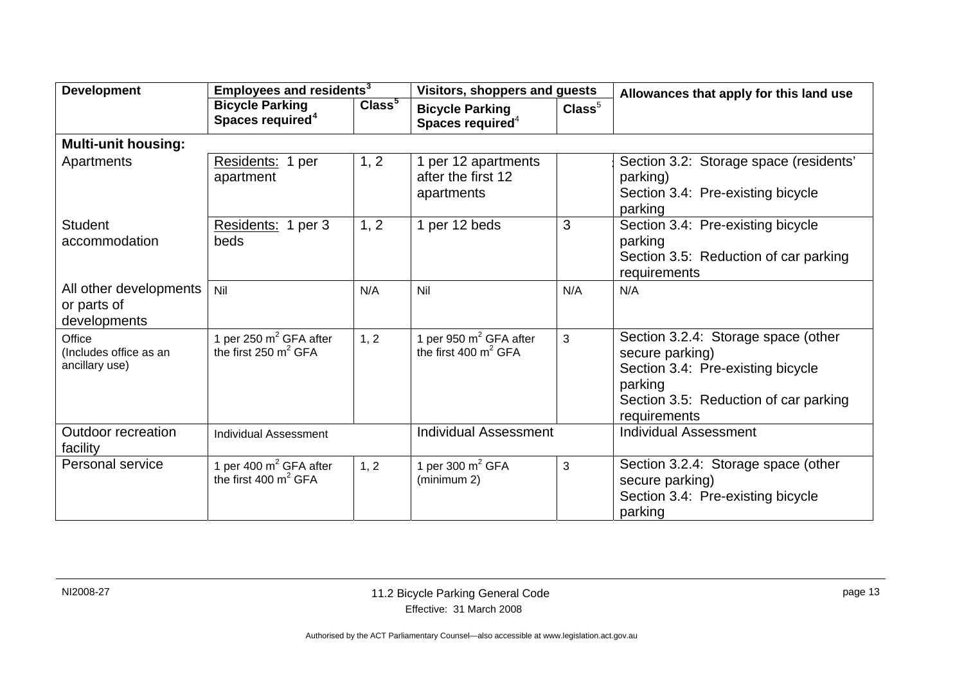| <b>Development</b>                                    | Employees and residents <sup>3</sup>                   |                    | <b>Visitors, shoppers and guests</b>                    |                  | Allowances that apply for this land use                                                                                                                         |
|-------------------------------------------------------|--------------------------------------------------------|--------------------|---------------------------------------------------------|------------------|-----------------------------------------------------------------------------------------------------------------------------------------------------------------|
|                                                       | <b>Bicycle Parking</b><br>Spaces required <sup>4</sup> | Class <sup>5</sup> | <b>Bicycle Parking</b><br>Spaces required <sup>4</sup>  | $\text{Class}^5$ |                                                                                                                                                                 |
| <b>Multi-unit housing:</b>                            |                                                        |                    |                                                         |                  |                                                                                                                                                                 |
| Apartments                                            | Residents: 1 per<br>apartment                          | 1, 2               | 1 per 12 apartments<br>after the first 12<br>apartments |                  | Section 3.2: Storage space (residents'<br>parking)<br>Section 3.4: Pre-existing bicycle<br>parking                                                              |
| <b>Student</b><br>accommodation                       | Residents: 1 per 3<br>beds                             | 1, 2               | 1 per 12 beds                                           | 3                | Section 3.4: Pre-existing bicycle<br>parking<br>Section 3.5: Reduction of car parking<br>requirements                                                           |
| All other developments<br>or parts of<br>developments | Nil                                                    | N/A                | Nil                                                     | N/A              | N/A                                                                                                                                                             |
| Office<br>(Includes office as an<br>ancillary use)    | 1 per 250 $m^2$ GFA after<br>the first 250 $m^2$ GFA   | 1, 2               | 1 per 950 $m^2$ GFA after<br>the first 400 $m^2$ GFA    | 3                | Section 3.2.4: Storage space (other<br>secure parking)<br>Section 3.4: Pre-existing bicycle<br>parking<br>Section 3.5: Reduction of car parking<br>requirements |
| <b>Outdoor recreation</b><br>facility                 | <b>Individual Assessment</b>                           |                    | <b>Individual Assessment</b>                            |                  | <b>Individual Assessment</b>                                                                                                                                    |
| Personal service                                      | 1 per 400 $m^2$ GFA after<br>the first 400 $m^2$ GFA   | 1, 2               | 1 per 300 $m^2$ GFA<br>(minimum 2)                      | 3                | Section 3.2.4: Storage space (other<br>secure parking)<br>Section 3.4: Pre-existing bicycle<br>parking                                                          |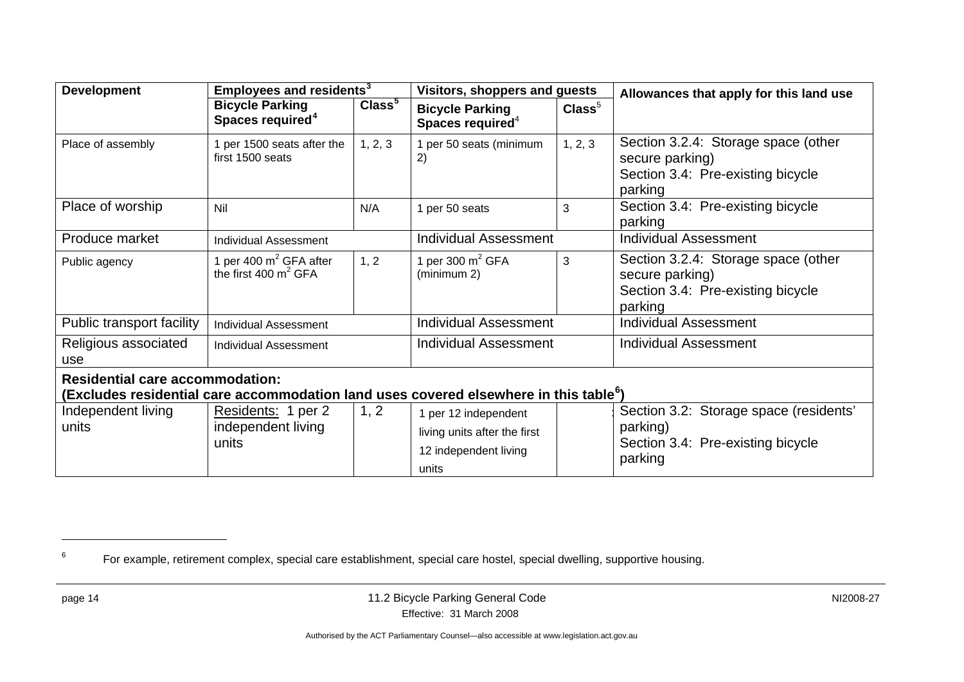| <b>Development</b>                                                                                                                          | Employees and residents <sup>3</sup>                   |                    | <b>Visitors, shoppers and guests</b>                                                   |                  | Allowances that apply for this land use                                                                |  |  |
|---------------------------------------------------------------------------------------------------------------------------------------------|--------------------------------------------------------|--------------------|----------------------------------------------------------------------------------------|------------------|--------------------------------------------------------------------------------------------------------|--|--|
|                                                                                                                                             | <b>Bicycle Parking</b><br>Spaces required <sup>4</sup> | Class <sup>5</sup> | <b>Bicycle Parking</b><br>Spaces required <sup>4</sup>                                 | $\text{Class}^5$ |                                                                                                        |  |  |
| Place of assembly                                                                                                                           | per 1500 seats after the<br>first 1500 seats           | 1, 2, 3            | 1 per 50 seats (minimum<br>2)                                                          | 1, 2, 3          | Section 3.2.4: Storage space (other<br>secure parking)<br>Section 3.4: Pre-existing bicycle<br>parking |  |  |
| Place of worship                                                                                                                            | Nil                                                    | N/A                | 1 per 50 seats                                                                         | 3                | Section 3.4: Pre-existing bicycle<br>parking                                                           |  |  |
| Produce market                                                                                                                              | <b>Individual Assessment</b>                           |                    | <b>Individual Assessment</b>                                                           |                  | <b>Individual Assessment</b>                                                                           |  |  |
| Public agency                                                                                                                               | 1 per 400 $m^2$ GFA after<br>the first 400 $m^2$ GFA   | 1, 2               | 1 per 300 $m^2$ GFA<br>(minimum 2)                                                     | 3                | Section 3.2.4: Storage space (other<br>secure parking)<br>Section 3.4: Pre-existing bicycle<br>parking |  |  |
| Public transport facility                                                                                                                   | <b>Individual Assessment</b>                           |                    | <b>Individual Assessment</b>                                                           |                  | <b>Individual Assessment</b>                                                                           |  |  |
| Religious associated<br>use                                                                                                                 | <b>Individual Assessment</b>                           |                    | <b>Individual Assessment</b>                                                           |                  | <b>Individual Assessment</b>                                                                           |  |  |
| <b>Residential care accommodation:</b><br>(Excludes residential care accommodation land uses covered elsewhere in this table <sup>6</sup> ) |                                                        |                    |                                                                                        |                  |                                                                                                        |  |  |
| Independent living<br>units                                                                                                                 | Residents: 1 per 2<br>independent living<br>units      | 1, 2               | 1 per 12 independent<br>living units after the first<br>12 independent living<br>units |                  | Section 3.2: Storage space (residents'<br>parking)<br>Section 3.4: Pre-existing bicycle<br>parking     |  |  |

<sup>&</sup>lt;sup>6</sup> For example, retirement complex, special care establishment, special care hostel, special dwelling, supportive housing.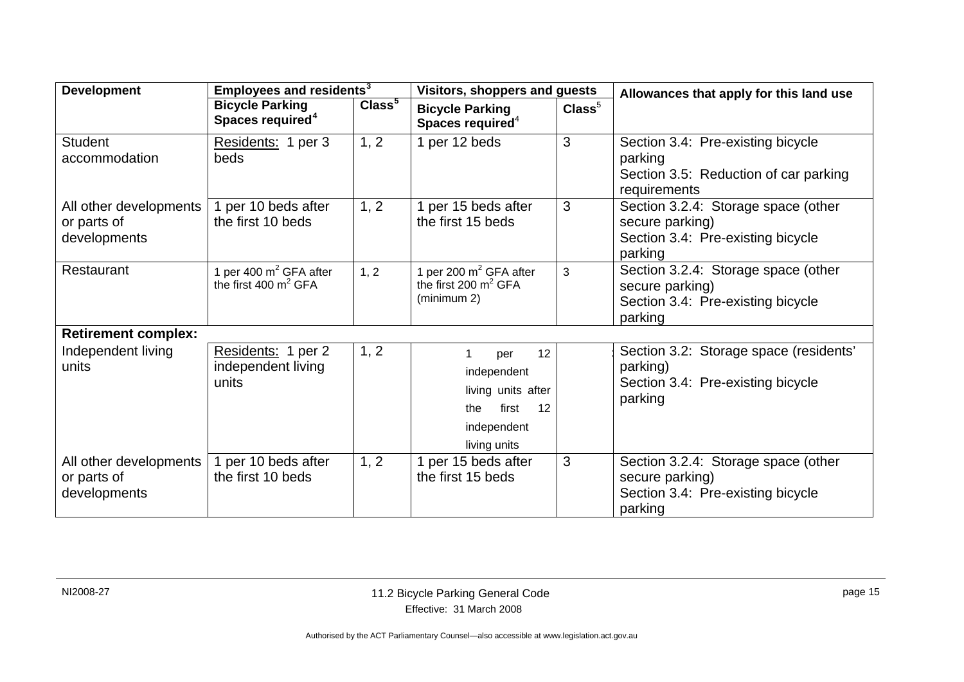| <b>Development</b>                                    | Employees and residents <sup>3</sup>                          |                    | <b>Visitors, shoppers and guests</b>                                                                |                  | Allowances that apply for this land use                                                                |  |
|-------------------------------------------------------|---------------------------------------------------------------|--------------------|-----------------------------------------------------------------------------------------------------|------------------|--------------------------------------------------------------------------------------------------------|--|
|                                                       | <b>Bicycle Parking</b><br>Spaces required <sup>4</sup>        | Class <sup>5</sup> | <b>Bicycle Parking</b><br>Spaces required $4$                                                       | $\text{Class}^5$ |                                                                                                        |  |
| <b>Student</b><br>accommodation                       | Residents: 1 per 3<br>beds                                    | 1, 2               | 1 per 12 beds                                                                                       | 3                | Section 3.4: Pre-existing bicycle<br>parking<br>Section 3.5: Reduction of car parking<br>requirements  |  |
| All other developments<br>or parts of<br>developments | l per 10 beds after<br>the first 10 beds                      | 1, 2               | 1 per 15 beds after<br>the first 15 beds                                                            | 3                | Section 3.2.4: Storage space (other<br>secure parking)<br>Section 3.4: Pre-existing bicycle<br>parking |  |
| Restaurant                                            | 1 per 400 m <sup>2</sup> GFA after<br>the first 400 $m^2$ GFA | 1, 2               | 1 per 200 $m^2$ GFA after<br>the first 200 $m^2$ GFA<br>(minimum 2)                                 | 3                | Section 3.2.4: Storage space (other<br>secure parking)<br>Section 3.4: Pre-existing bicycle<br>parking |  |
| <b>Retirement complex:</b>                            |                                                               |                    |                                                                                                     |                  |                                                                                                        |  |
| Independent living<br>units                           | Residents: 1 per 2<br>independent living<br>units             | 1, 2               | 12<br>per<br>independent<br>living units after<br>first<br>12<br>the<br>independent<br>living units |                  | Section 3.2: Storage space (residents'<br>parking)<br>Section 3.4: Pre-existing bicycle<br>parking     |  |
| All other developments<br>or parts of<br>developments | per 10 beds after<br>the first 10 beds                        | 1, 2               | 1 per 15 beds after<br>the first 15 beds                                                            | 3                | Section 3.2.4: Storage space (other<br>secure parking)<br>Section 3.4: Pre-existing bicycle<br>parking |  |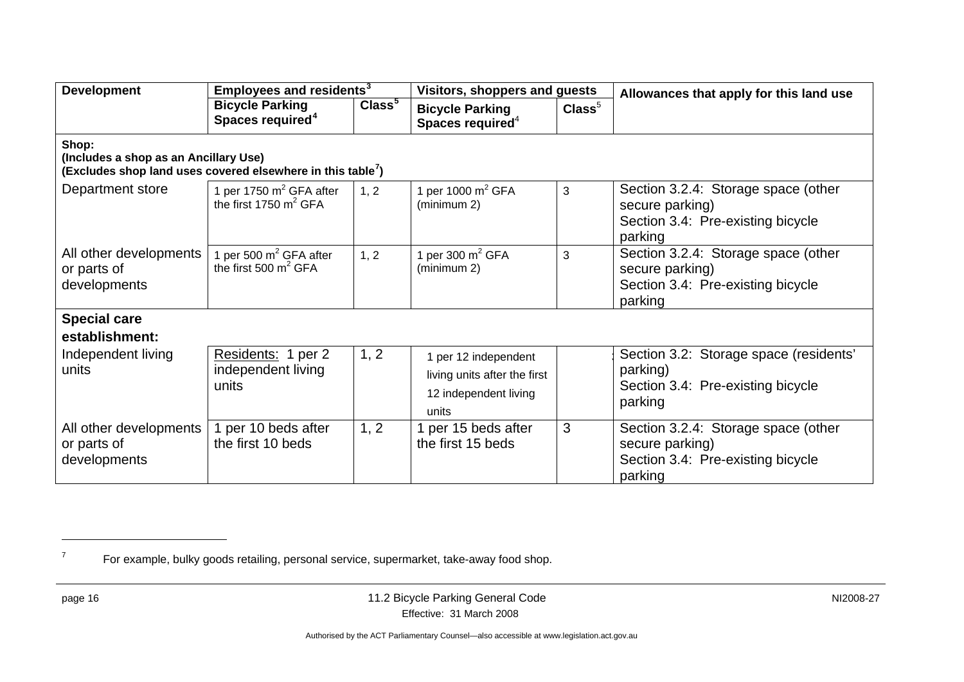| <b>Development</b>                                                                                                        | Employees and residents <sup>3</sup>                          |                    | <b>Visitors, shoppers and guests</b>                                                   |                  | Allowances that apply for this land use                                                                |  |
|---------------------------------------------------------------------------------------------------------------------------|---------------------------------------------------------------|--------------------|----------------------------------------------------------------------------------------|------------------|--------------------------------------------------------------------------------------------------------|--|
|                                                                                                                           | <b>Bicycle Parking</b><br>Spaces required <sup>4</sup>        | Class <sup>5</sup> | <b>Bicycle Parking</b><br>Spaces required <sup>4</sup>                                 | $\text{Class}^5$ |                                                                                                        |  |
| Shop:<br>(Includes a shop as an Ancillary Use)<br>(Excludes shop land uses covered elsewhere in this table <sup>7</sup> ) |                                                               |                    |                                                                                        |                  |                                                                                                        |  |
| Department store                                                                                                          | 1 per 1750 $m^2$ GFA after<br>the first 1750 $m^2$ GFA        | 1, 2               | 1 per 1000 $m^2$ GFA<br>(minimum 2)                                                    | 3                | Section 3.2.4: Storage space (other<br>secure parking)<br>Section 3.4: Pre-existing bicycle<br>parking |  |
| All other developments<br>or parts of<br>developments                                                                     | 1 per 500 m <sup>2</sup> GFA after<br>the first 500 $m^2$ GFA | 1, 2               | 1 per 300 $m^2$ GFA<br>(minimum 2)                                                     | 3                | Section 3.2.4: Storage space (other<br>secure parking)<br>Section 3.4: Pre-existing bicycle<br>parking |  |
| <b>Special care</b>                                                                                                       |                                                               |                    |                                                                                        |                  |                                                                                                        |  |
| establishment:                                                                                                            |                                                               |                    |                                                                                        |                  |                                                                                                        |  |
| Independent living<br>units                                                                                               | Residents: 1 per 2<br>independent living<br>units             | 1, 2               | 1 per 12 independent<br>living units after the first<br>12 independent living<br>units |                  | Section 3.2: Storage space (residents'<br>parking)<br>Section 3.4: Pre-existing bicycle<br>parking     |  |
| All other developments<br>or parts of<br>developments                                                                     | per 10 beds after<br>the first 10 beds                        | 1, 2               | 1 per 15 beds after<br>the first 15 beds                                               | 3                | Section 3.2.4: Storage space (other<br>secure parking)<br>Section 3.4: Pre-existing bicycle<br>parking |  |

 $<sup>7</sup>$  For example, bulky goods retailing, personal service, supermarket, take-away food shop.</sup>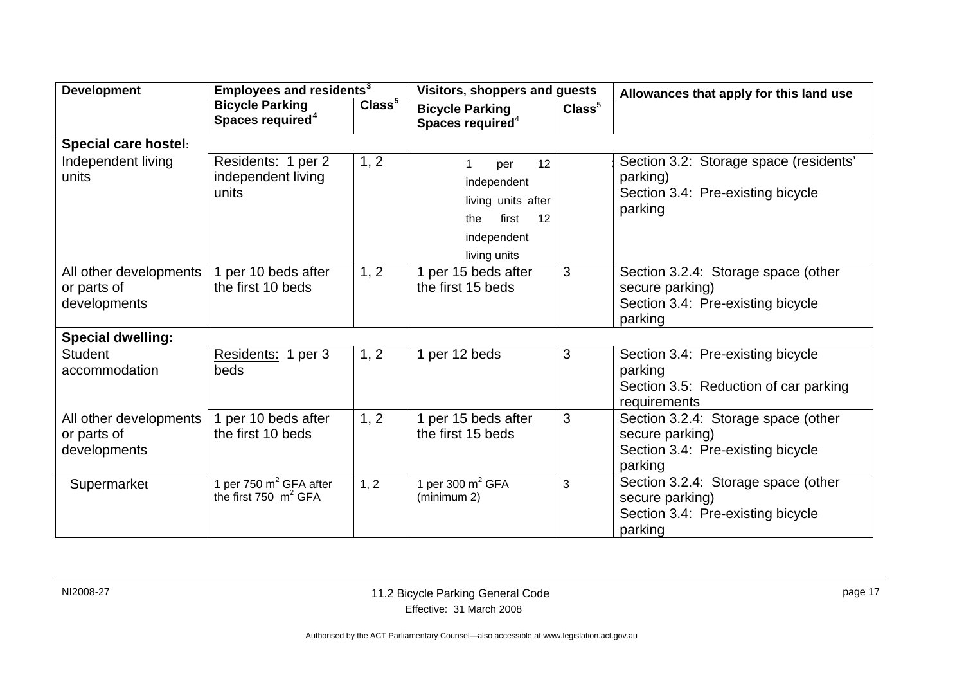| <b>Development</b>                                    | Employees and residents <sup>3</sup>                   |                    | <b>Visitors, shoppers and guests</b>                                                                |                  | Allowances that apply for this land use                                                                |  |
|-------------------------------------------------------|--------------------------------------------------------|--------------------|-----------------------------------------------------------------------------------------------------|------------------|--------------------------------------------------------------------------------------------------------|--|
|                                                       | <b>Bicycle Parking</b><br>Spaces required <sup>4</sup> | Class <sup>5</sup> | <b>Bicycle Parking</b><br>Spaces required <sup>4</sup>                                              | $\text{Class}^5$ |                                                                                                        |  |
| <b>Special care hostel:</b>                           |                                                        |                    |                                                                                                     |                  |                                                                                                        |  |
| Independent living<br>units                           | Residents: 1 per 2<br>independent living<br>units      | 1, 2               | 12<br>per<br>independent<br>living units after<br>first<br>12<br>the<br>independent<br>living units |                  | Section 3.2: Storage space (residents'<br>parking)<br>Section 3.4: Pre-existing bicycle<br>parking     |  |
| All other developments<br>or parts of<br>developments | 1 per 10 beds after<br>the first 10 beds               | 1, 2               | 1 per 15 beds after<br>the first 15 beds                                                            | 3                | Section 3.2.4: Storage space (other<br>secure parking)<br>Section 3.4: Pre-existing bicycle<br>parking |  |
| <b>Special dwelling:</b>                              |                                                        |                    |                                                                                                     |                  |                                                                                                        |  |
| <b>Student</b><br>accommodation                       | Residents: 1 per 3<br>beds                             | 1, 2               | 1 per 12 beds                                                                                       | 3                | Section 3.4: Pre-existing bicycle<br>parking<br>Section 3.5: Reduction of car parking<br>requirements  |  |
| All other developments<br>or parts of<br>developments | 1 per 10 beds after<br>the first 10 beds               | 1, 2               | 1 per 15 beds after<br>the first 15 beds                                                            | 3                | Section 3.2.4: Storage space (other<br>secure parking)<br>Section 3.4: Pre-existing bicycle<br>parking |  |
| Supermarket                                           | 1 per 750 $m^2$ GFA after<br>the first 750 $m^2$ GFA   | 1, 2               | 1 per 300 $m^2$ GFA<br>(minimum 2)                                                                  | 3                | Section 3.2.4: Storage space (other<br>secure parking)<br>Section 3.4: Pre-existing bicycle<br>parking |  |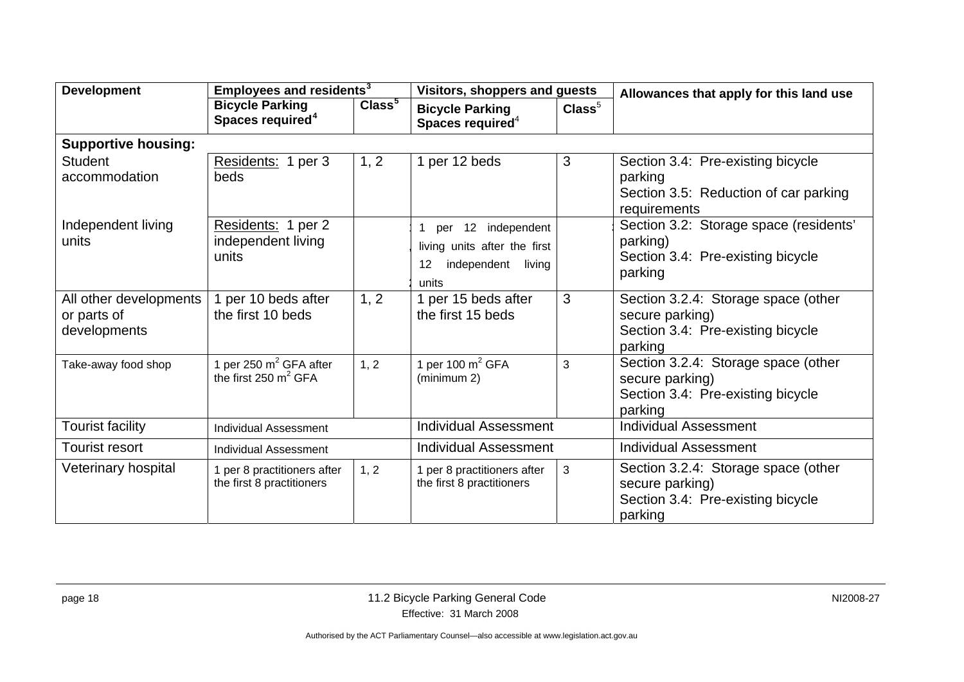| <b>Development</b>                                    | Employees and residents <sup>3</sup>                         |                    | Visitors, shoppers and guests                                                                 |                  | Allowances that apply for this land use                                                                |
|-------------------------------------------------------|--------------------------------------------------------------|--------------------|-----------------------------------------------------------------------------------------------|------------------|--------------------------------------------------------------------------------------------------------|
|                                                       | <b>Bicycle Parking</b><br>Spaces required <sup>4</sup>       | Class <sup>5</sup> | <b>Bicycle Parking</b><br>Spaces required <sup>4</sup>                                        | $\text{Class}^5$ |                                                                                                        |
| <b>Supportive housing:</b>                            |                                                              |                    |                                                                                               |                  |                                                                                                        |
| <b>Student</b><br>accommodation                       | Residents: 1 per 3<br>beds                                   | 1, 2               | 1 per 12 beds                                                                                 | 3                | Section 3.4: Pre-existing bicycle<br>parking<br>Section 3.5: Reduction of car parking<br>requirements  |
| Independent living<br>units                           | Residents: 1 per 2<br>independent living<br>units            |                    | 12 independent<br>per<br>living units after the first<br>living<br>independent<br>12<br>units |                  | Section 3.2: Storage space (residents'<br>parking)<br>Section 3.4: Pre-existing bicycle<br>parking     |
| All other developments<br>or parts of<br>developments | 1 per 10 beds after<br>the first 10 beds                     | 1, 2               | 1 per 15 beds after<br>the first 15 beds                                                      | 3                | Section 3.2.4: Storage space (other<br>secure parking)<br>Section 3.4: Pre-existing bicycle<br>parking |
| Take-away food shop                                   | 1 per 250 $m^2$ GFA after<br>the first $250 \text{ m}^2$ GFA | 1, 2               | 1 per 100 $m^2$ GFA<br>(minimum 2)                                                            | 3                | Section 3.2.4: Storage space (other<br>secure parking)<br>Section 3.4: Pre-existing bicycle<br>parking |
| Tourist facility                                      | <b>Individual Assessment</b>                                 |                    | <b>Individual Assessment</b>                                                                  |                  | <b>Individual Assessment</b>                                                                           |
| <b>Tourist resort</b>                                 | <b>Individual Assessment</b>                                 |                    | <b>Individual Assessment</b>                                                                  |                  | <b>Individual Assessment</b>                                                                           |
| Veterinary hospital                                   | 1 per 8 practitioners after<br>the first 8 practitioners     | 1, 2               | 1 per 8 practitioners after<br>the first 8 practitioners                                      | 3                | Section 3.2.4: Storage space (other<br>secure parking)<br>Section 3.4: Pre-existing bicycle<br>parking |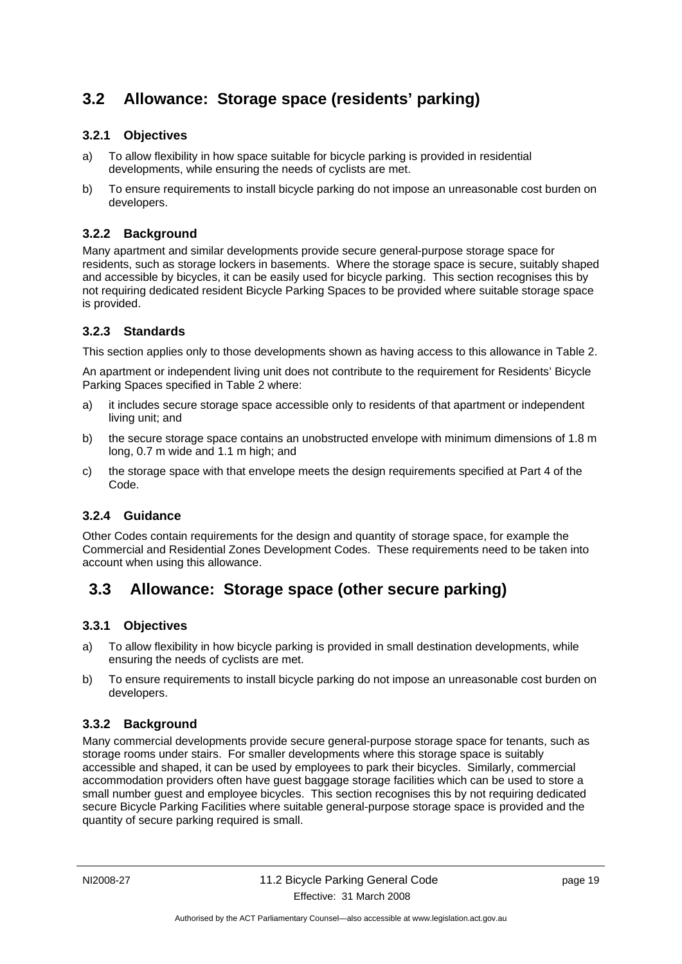# **3.2 Allowance: Storage space (residents' parking)**

### **3.2.1 Objectives**

- a) To allow flexibility in how space suitable for bicycle parking is provided in residential developments, while ensuring the needs of cyclists are met.
- b) To ensure requirements to install bicycle parking do not impose an unreasonable cost burden on developers.

### **3.2.2 Background**

Many apartment and similar developments provide secure general-purpose storage space for residents, such as storage lockers in basements. Where the storage space is secure, suitably shaped and accessible by bicycles, it can be easily used for bicycle parking. This section recognises this by not requiring dedicated resident Bicycle Parking Spaces to be provided where suitable storage space is provided.

### **3.2.3 Standards**

This section applies only to those developments shown as having access to this allowance in Table 2.

An apartment or independent living unit does not contribute to the requirement for Residents' Bicycle Parking Spaces specified in Table 2 where:

- a) it includes secure storage space accessible only to residents of that apartment or independent living unit; and
- b) the secure storage space contains an unobstructed envelope with minimum dimensions of 1.8 m long, 0.7 m wide and 1.1 m high; and
- c) the storage space with that envelope meets the design requirements specified at Part 4 of the Code.

### **3.2.4 Guidance**

Other Codes contain requirements for the design and quantity of storage space, for example the Commercial and Residential Zones Development Codes. These requirements need to be taken into account when using this allowance.

# **3.3 Allowance: Storage space (other secure parking)**

### **3.3.1 Objectives**

- a) To allow flexibility in how bicycle parking is provided in small destination developments, while ensuring the needs of cyclists are met.
- b) To ensure requirements to install bicycle parking do not impose an unreasonable cost burden on developers.

### **3.3.2 Background**

Many commercial developments provide secure general-purpose storage space for tenants, such as storage rooms under stairs. For smaller developments where this storage space is suitably accessible and shaped, it can be used by employees to park their bicycles. Similarly, commercial accommodation providers often have guest baggage storage facilities which can be used to store a small number guest and employee bicycles. This section recognises this by not requiring dedicated secure Bicycle Parking Facilities where suitable general-purpose storage space is provided and the quantity of secure parking required is small.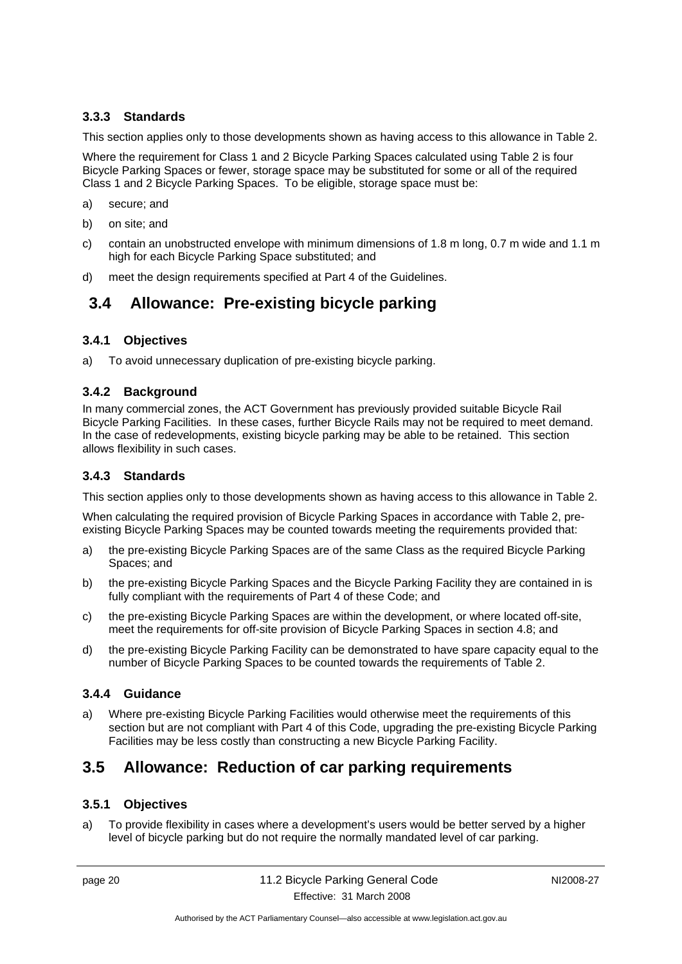### **3.3.3 Standards**

This section applies only to those developments shown as having access to this allowance in Table 2.

Where the requirement for Class 1 and 2 Bicycle Parking Spaces calculated using Table 2 is four Bicycle Parking Spaces or fewer, storage space may be substituted for some or all of the required Class 1 and 2 Bicycle Parking Spaces. To be eligible, storage space must be:

- a) secure; and
- b) on site; and
- c) contain an unobstructed envelope with minimum dimensions of 1.8 m long, 0.7 m wide and 1.1 m high for each Bicycle Parking Space substituted; and
- d) meet the design requirements specified at Part 4 of the Guidelines.

### **3.4 Allowance: Pre-existing bicycle parking**

#### **3.4.1 Objectives**

a) To avoid unnecessary duplication of pre-existing bicycle parking.

#### **3.4.2 Background**

In many commercial zones, the ACT Government has previously provided suitable Bicycle Rail Bicycle Parking Facilities. In these cases, further Bicycle Rails may not be required to meet demand. In the case of redevelopments, existing bicycle parking may be able to be retained. This section allows flexibility in such cases.

#### **3.4.3 Standards**

This section applies only to those developments shown as having access to this allowance in Table 2.

When calculating the required provision of Bicycle Parking Spaces in accordance with Table 2, preexisting Bicycle Parking Spaces may be counted towards meeting the requirements provided that:

- a) the pre-existing Bicycle Parking Spaces are of the same Class as the required Bicycle Parking Spaces; and
- b) the pre-existing Bicycle Parking Spaces and the Bicycle Parking Facility they are contained in is fully compliant with the requirements of Part 4 of these Code; and
- c) the pre-existing Bicycle Parking Spaces are within the development, or where located off-site, meet the requirements for off-site provision of Bicycle Parking Spaces in section 4.8; and
- d) the pre-existing Bicycle Parking Facility can be demonstrated to have spare capacity equal to the number of Bicycle Parking Spaces to be counted towards the requirements of Table 2.

### **3.4.4 Guidance**

a) Where pre-existing Bicycle Parking Facilities would otherwise meet the requirements of this section but are not compliant with Part 4 of this Code, upgrading the pre-existing Bicycle Parking Facilities may be less costly than constructing a new Bicycle Parking Facility.

# **3.5 Allowance: Reduction of car parking requirements**

#### **3.5.1 Objectives**

a) To provide flexibility in cases where a development's users would be better served by a higher level of bicycle parking but do not require the normally mandated level of car parking.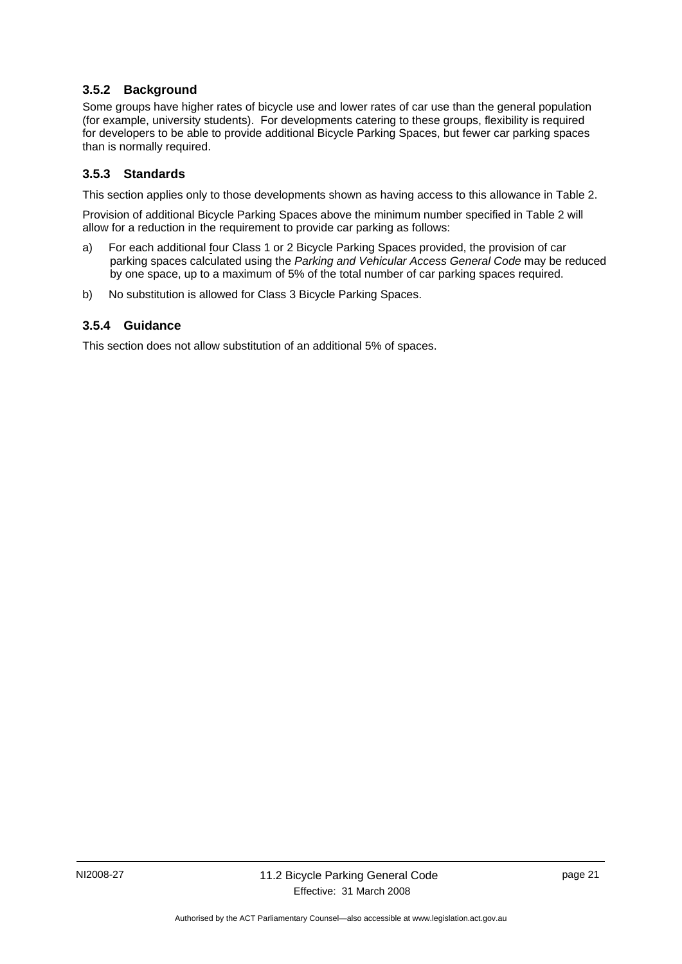### **3.5.2 Background**

Some groups have higher rates of bicycle use and lower rates of car use than the general population (for example, university students). For developments catering to these groups, flexibility is required for developers to be able to provide additional Bicycle Parking Spaces, but fewer car parking spaces than is normally required.

### **3.5.3 Standards**

This section applies only to those developments shown as having access to this allowance in Table 2.

Provision of additional Bicycle Parking Spaces above the minimum number specified in Table 2 will allow for a reduction in the requirement to provide car parking as follows:

- a) For each additional four Class 1 or 2 Bicycle Parking Spaces provided, the provision of car parking spaces calculated using the *Parking and Vehicular Access General Code* may be reduced by one space, up to a maximum of 5% of the total number of car parking spaces required.
- b) No substitution is allowed for Class 3 Bicycle Parking Spaces.

### **3.5.4 Guidance**

This section does not allow substitution of an additional 5% of spaces.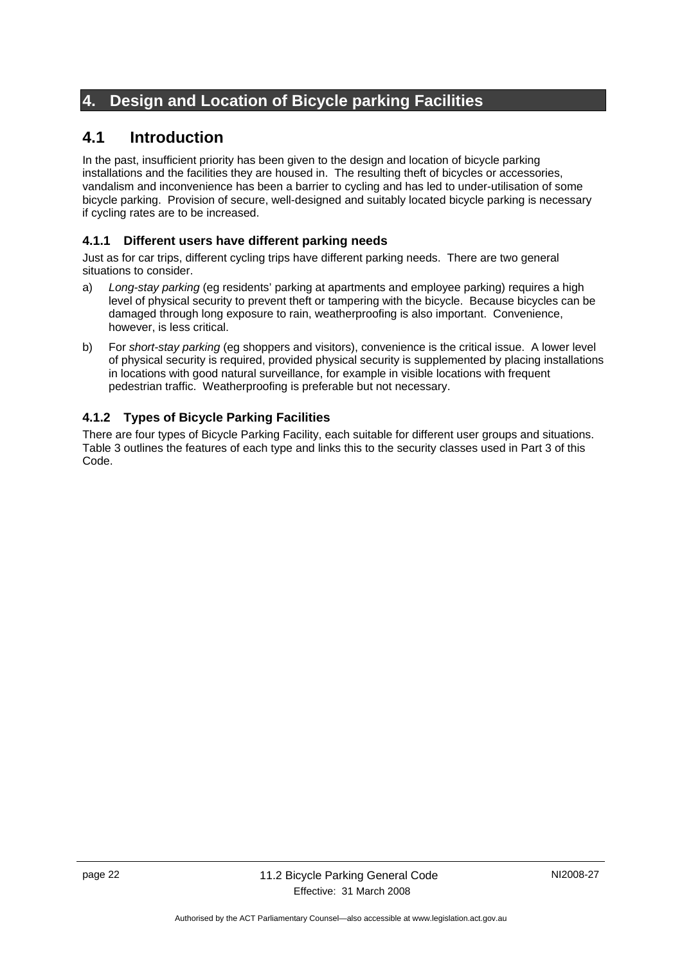# **4. Design and Location of Bicycle parking Facilities**

# **4.1 Introduction**

In the past, insufficient priority has been given to the design and location of bicycle parking installations and the facilities they are housed in. The resulting theft of bicycles or accessories, vandalism and inconvenience has been a barrier to cycling and has led to under-utilisation of some bicycle parking. Provision of secure, well-designed and suitably located bicycle parking is necessary if cycling rates are to be increased.

### **4.1.1 Different users have different parking needs**

Just as for car trips, different cycling trips have different parking needs. There are two general situations to consider.

- a) *Long-stay parking* (eg residents' parking at apartments and employee parking) requires a high level of physical security to prevent theft or tampering with the bicycle. Because bicycles can be damaged through long exposure to rain, weatherproofing is also important. Convenience, however, is less critical.
- b) For *short-stay parking* (eg shoppers and visitors), convenience is the critical issue. A lower level of physical security is required, provided physical security is supplemented by placing installations in locations with good natural surveillance, for example in visible locations with frequent pedestrian traffic. Weatherproofing is preferable but not necessary.

### **4.1.2 Types of Bicycle Parking Facilities**

There are four types of Bicycle Parking Facility, each suitable for different user groups and situations. Table 3 outlines the features of each type and links this to the security classes used in Part 3 of this Code.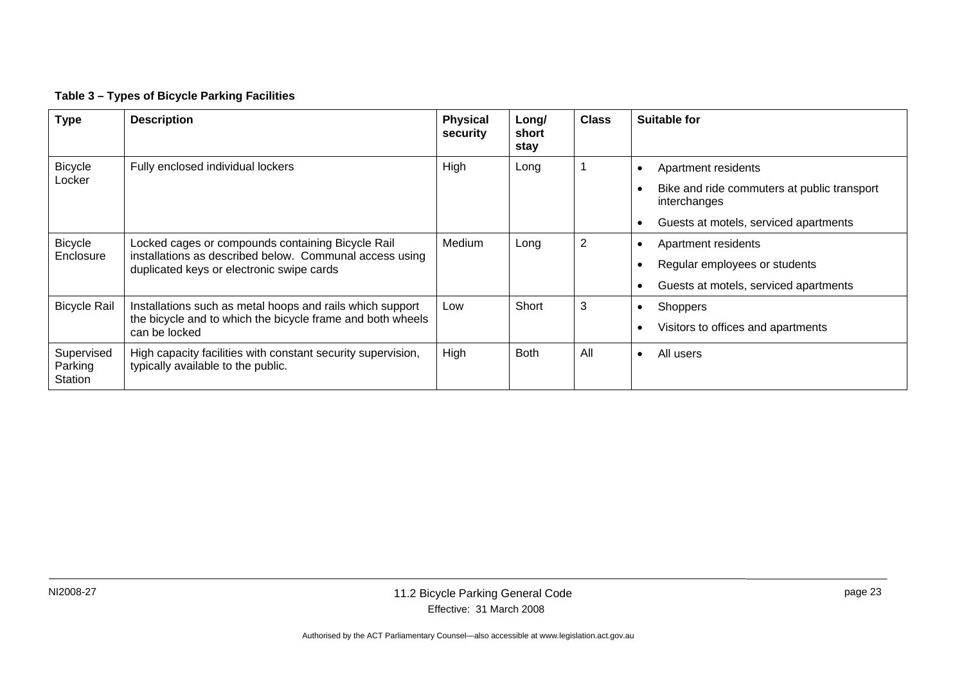#### **Table 3 – Types of Bicycle Parking Facilities**

| <b>Type</b>                      | <b>Description</b>                                                                                   | <b>Physical</b><br>security | Long/<br>short<br>stay | <b>Class</b> | Suitable for                                                |
|----------------------------------|------------------------------------------------------------------------------------------------------|-----------------------------|------------------------|--------------|-------------------------------------------------------------|
| <b>Bicycle</b><br>Locker         | Fully enclosed individual lockers                                                                    | High                        | Long                   |              | Apartment residents                                         |
|                                  |                                                                                                      |                             |                        |              | Bike and ride commuters at public transport<br>interchanges |
|                                  |                                                                                                      |                             |                        |              | Guests at motels, serviced apartments                       |
| <b>Bicycle</b>                   | Locked cages or compounds containing Bicycle Rail                                                    | Medium                      | Long                   | 2            | Apartment residents<br>$\bullet$                            |
| Enclosure                        | installations as described below. Communal access using<br>duplicated keys or electronic swipe cards |                             |                        |              | Regular employees or students                               |
|                                  |                                                                                                      |                             |                        |              | Guests at motels, serviced apartments                       |
| <b>Bicycle Rail</b>              | Installations such as metal hoops and rails which support                                            | Low                         | Short                  | 3            | <b>Shoppers</b><br>$\bullet$                                |
|                                  | the bicycle and to which the bicycle frame and both wheels<br>can be locked                          |                             |                        |              | Visitors to offices and apartments                          |
| Supervised<br>Parking<br>Station | High capacity facilities with constant security supervision,<br>typically available to the public.   | High                        | <b>Both</b>            | All          | All users<br>$\bullet$                                      |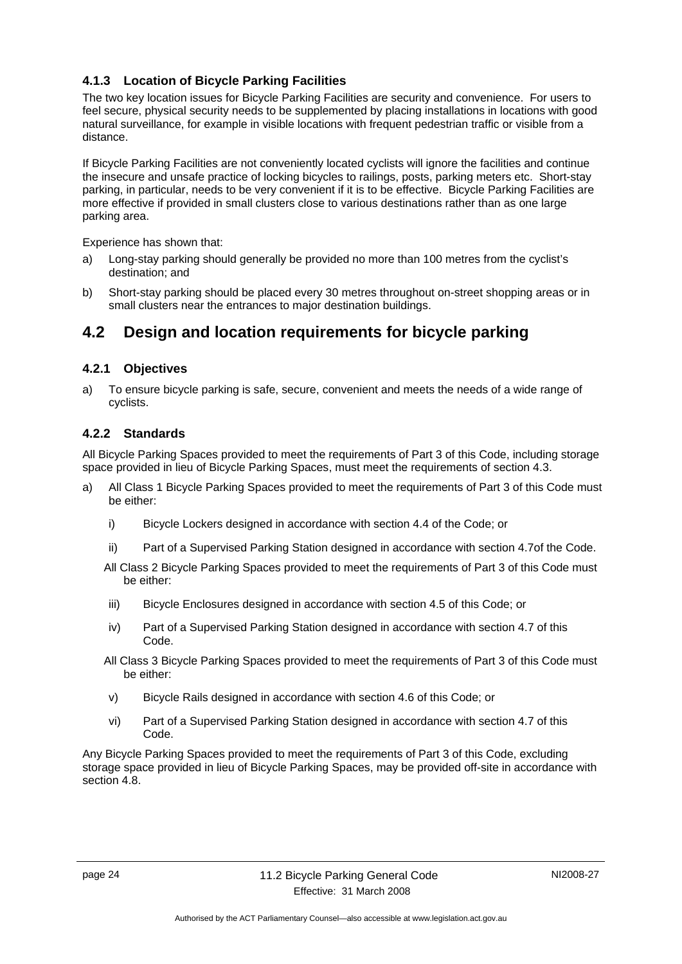### **4.1.3 Location of Bicycle Parking Facilities**

The two key location issues for Bicycle Parking Facilities are security and convenience. For users to feel secure, physical security needs to be supplemented by placing installations in locations with good natural surveillance, for example in visible locations with frequent pedestrian traffic or visible from a distance.

If Bicycle Parking Facilities are not conveniently located cyclists will ignore the facilities and continue the insecure and unsafe practice of locking bicycles to railings, posts, parking meters etc. Short-stay parking, in particular, needs to be very convenient if it is to be effective. Bicycle Parking Facilities are more effective if provided in small clusters close to various destinations rather than as one large parking area.

Experience has shown that:

- a) Long-stay parking should generally be provided no more than 100 metres from the cyclist's destination; and
- b) Short-stay parking should be placed every 30 metres throughout on-street shopping areas or in small clusters near the entrances to major destination buildings.

### **4.2 Design and location requirements for bicycle parking**

#### **4.2.1 Objectives**

a) To ensure bicycle parking is safe, secure, convenient and meets the needs of a wide range of cyclists.

### **4.2.2 Standards**

All Bicycle Parking Spaces provided to meet the requirements of Part 3 of this Code, including storage space provided in lieu of Bicycle Parking Spaces, must meet the requirements of section 4.3.

- a) All Class 1 Bicycle Parking Spaces provided to meet the requirements of Part 3 of this Code must be either:
	- i) Bicycle Lockers designed in accordance with section 4.4 of the Code; or
	- ii) Part of a Supervised Parking Station designed in accordance with section 4.7of the Code.
	- All Class 2 Bicycle Parking Spaces provided to meet the requirements of Part 3 of this Code must be either:
	- iii) Bicycle Enclosures designed in accordance with section 4.5 of this Code; or
	- iv) Part of a Supervised Parking Station designed in accordance with section 4.7 of this Code.
	- All Class 3 Bicycle Parking Spaces provided to meet the requirements of Part 3 of this Code must be either:
	- v) Bicycle Rails designed in accordance with section 4.6 of this Code; or
	- vi) Part of a Supervised Parking Station designed in accordance with section 4.7 of this Code.

Any Bicycle Parking Spaces provided to meet the requirements of Part 3 of this Code, excluding storage space provided in lieu of Bicycle Parking Spaces, may be provided off-site in accordance with section 4.8.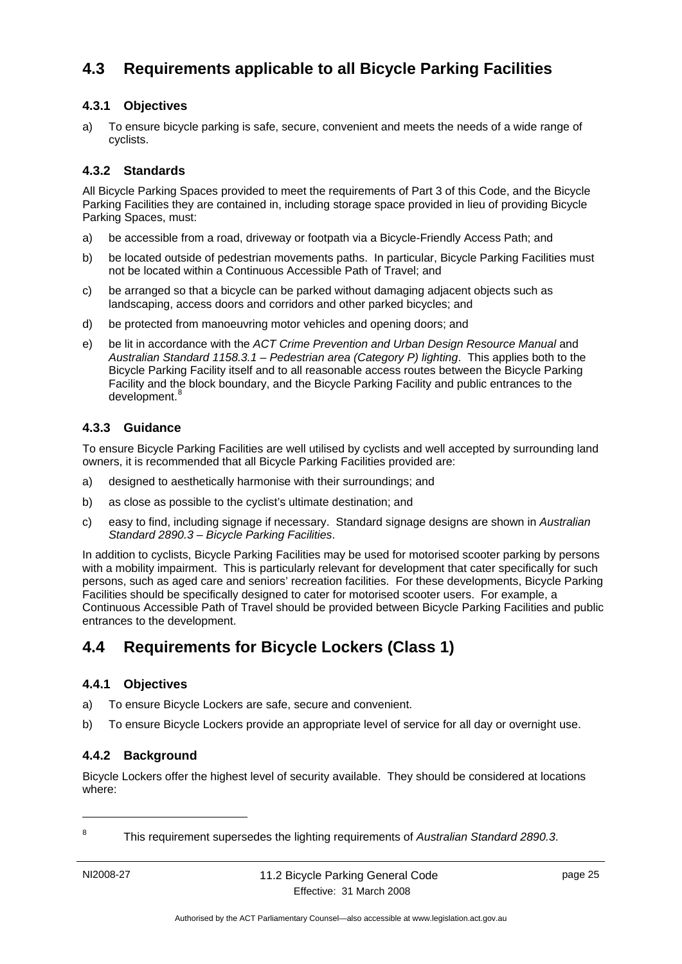# **4.3 Requirements applicable to all Bicycle Parking Facilities**

### **4.3.1 Objectives**

a) To ensure bicycle parking is safe, secure, convenient and meets the needs of a wide range of cyclists.

### **4.3.2 Standards**

All Bicycle Parking Spaces provided to meet the requirements of Part 3 of this Code, and the Bicycle Parking Facilities they are contained in, including storage space provided in lieu of providing Bicycle Parking Spaces, must:

- a) be accessible from a road, driveway or footpath via a Bicycle-Friendly Access Path; and
- b) be located outside of pedestrian movements paths. In particular, Bicycle Parking Facilities must not be located within a Continuous Accessible Path of Travel; and
- c) be arranged so that a bicycle can be parked without damaging adjacent objects such as landscaping, access doors and corridors and other parked bicycles; and
- d) be protected from manoeuvring motor vehicles and opening doors; and
- e) be lit in accordance with the *ACT Crime Prevention and Urban Design Resource Manual* and *Australian Standard 1158.3.1 – Pedestrian area (Category P) lighting*. This applies both to the Bicycle Parking Facility itself and to all reasonable access routes between the Bicycle Parking Facility and the block boundary, and the Bicycle Parking Facility and public entrances to the development.<sup>8</sup>

### **4.3.3 Guidance**

To ensure Bicycle Parking Facilities are well utilised by cyclists and well accepted by surrounding land owners, it is recommended that all Bicycle Parking Facilities provided are:

- a) designed to aesthetically harmonise with their surroundings; and
- b) as close as possible to the cyclist's ultimate destination; and
- c) easy to find, including signage if necessary. Standard signage designs are shown in *Australian Standard 2890.3 – Bicycle Parking Facilities*.

In addition to cyclists, Bicycle Parking Facilities may be used for motorised scooter parking by persons with a mobility impairment. This is particularly relevant for development that cater specifically for such persons, such as aged care and seniors' recreation facilities. For these developments, Bicycle Parking Facilities should be specifically designed to cater for motorised scooter users. For example, a Continuous Accessible Path of Travel should be provided between Bicycle Parking Facilities and public entrances to the development.

# **4.4 Requirements for Bicycle Lockers (Class 1)**

### **4.4.1 Objectives**

- a) To ensure Bicycle Lockers are safe, secure and convenient.
- b) To ensure Bicycle Lockers provide an appropriate level of service for all day or overnight use.

### **4.4.2 Background**

Bicycle Lockers offer the highest level of security available. They should be considered at locations where:

1 8

This requirement supersedes the lighting requirements of *Australian Standard 2890.3*.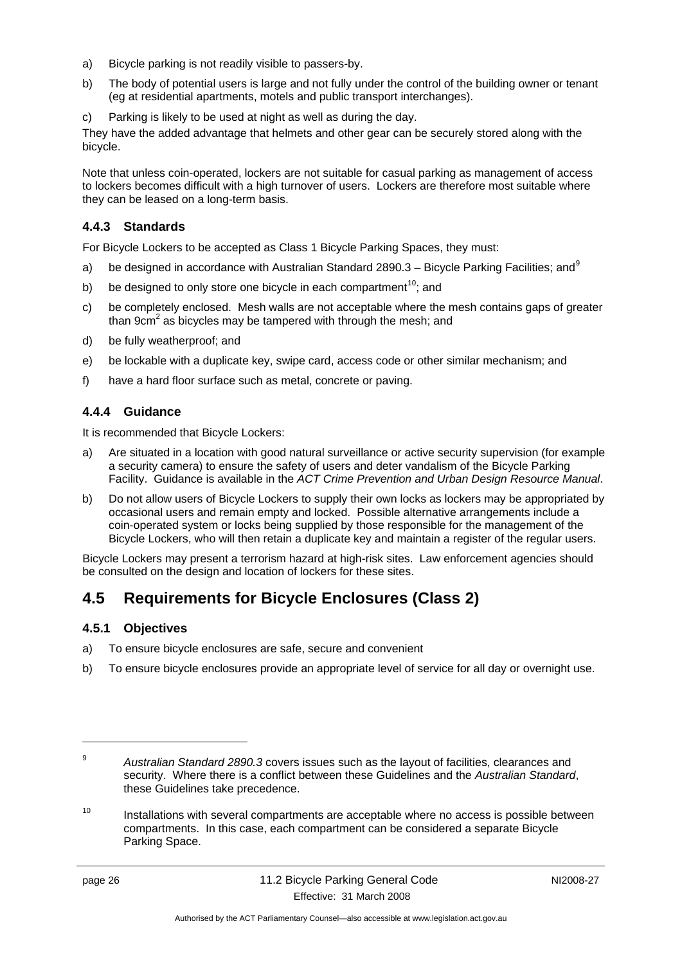- a) Bicycle parking is not readily visible to passers-by.
- b) The body of potential users is large and not fully under the control of the building owner or tenant (eg at residential apartments, motels and public transport interchanges).
- c) Parking is likely to be used at night as well as during the day.

They have the added advantage that helmets and other gear can be securely stored along with the bicycle.

Note that unless coin-operated, lockers are not suitable for casual parking as management of access to lockers becomes difficult with a high turnover of users. Lockers are therefore most suitable where they can be leased on a long-term basis.

#### **4.4.3 Standards**

For Bicycle Lockers to be accepted as Class 1 Bicycle Parking Spaces, they must:

- a) be designed in accordance with Australian Standard 2890.3 Bicycle Parking Facilities; and  $9$
- b) be designed to only store one bicycle in each compartment<sup>10</sup>; and
- c) be completely enclosed. Mesh walls are not acceptable where the mesh contains gaps of greater than 9 $cm<sup>2</sup>$  as bicycles may be tampered with through the mesh; and
- d) be fully weatherproof; and
- e) be lockable with a duplicate key, swipe card, access code or other similar mechanism; and
- f) have a hard floor surface such as metal, concrete or paving.

### **4.4.4 Guidance**

It is recommended that Bicycle Lockers:

- a) Are situated in a location with good natural surveillance or active security supervision (for example a security camera) to ensure the safety of users and deter vandalism of the Bicycle Parking Facility. Guidance is available in the *ACT Crime Prevention and Urban Design Resource Manual*.
- b) Do not allow users of Bicycle Lockers to supply their own locks as lockers may be appropriated by occasional users and remain empty and locked. Possible alternative arrangements include a coin-operated system or locks being supplied by those responsible for the management of the Bicycle Lockers, who will then retain a duplicate key and maintain a register of the regular users.

Bicycle Lockers may present a terrorism hazard at high-risk sites. Law enforcement agencies should be consulted on the design and location of lockers for these sites.

# **4.5 Requirements for Bicycle Enclosures (Class 2)**

#### **4.5.1 Objectives**

- a) To ensure bicycle enclosures are safe, secure and convenient
- b) To ensure bicycle enclosures provide an appropriate level of service for all day or overnight use.

<u>.</u>

<sup>9</sup> *Australian Standard 2890.3* covers issues such as the layout of facilities, clearances and security. Where there is a conflict between these Guidelines and the *Australian Standard*, these Guidelines take precedence.

 $10$  Installations with several compartments are acceptable where no access is possible between compartments. In this case, each compartment can be considered a separate Bicycle Parking Space.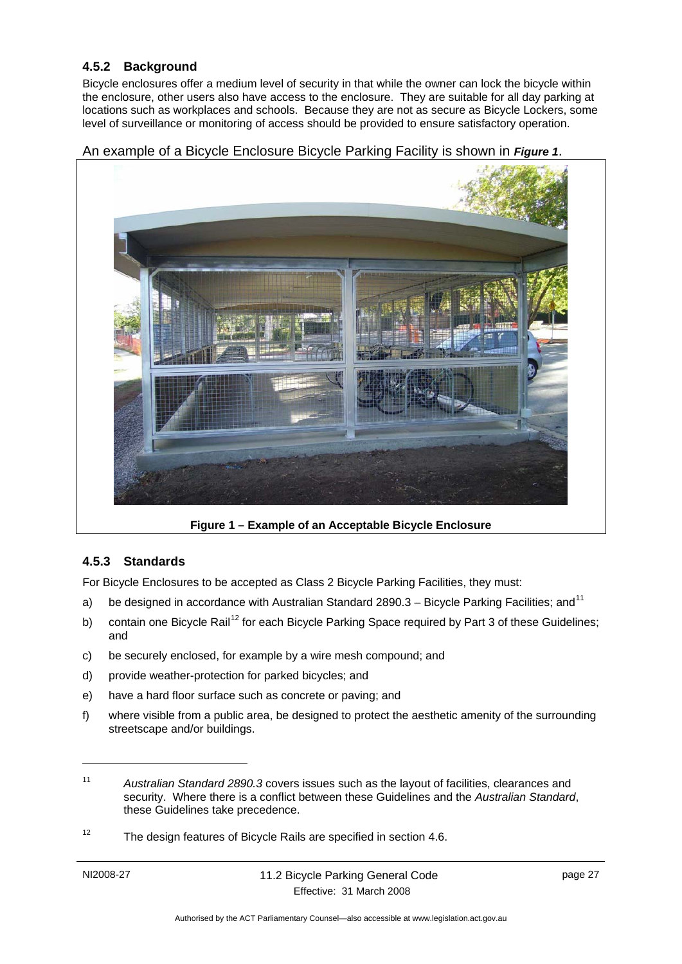### **4.5.2 Background**

Bicycle enclosures offer a medium level of security in that while the owner can lock the bicycle within the enclosure, other users also have access to the enclosure. They are suitable for all day parking at locations such as workplaces and schools. Because they are not as secure as Bicycle Lockers, some level of surveillance or monitoring of access should be provided to ensure satisfactory operation.

An example of a Bicycle Enclosure Bicycle Parking Facility is shown in *Figure 1*.



**Figure 1 – Example of an Acceptable Bicycle Enclosure** 

### **4.5.3 Standards**

For Bicycle Enclosures to be accepted as Class 2 Bicycle Parking Facilities, they must:

- a) be designed in accordance with Australian Standard 2890.3 Bicycle Parking Facilities; and  $11$
- b) contain one Bicycle Rail<sup>12</sup> for each Bicycle Parking Space required by Part 3 of these Guidelines; and
- c) be securely enclosed, for example by a wire mesh compound; and
- d) provide weather-protection for parked bicycles; and
- e) have a hard floor surface such as concrete or paving; and
- f) where visible from a public area, be designed to protect the aesthetic amenity of the surrounding streetscape and/or buildings.

<sup>12</sup> The design features of Bicycle Rails are specified in section 4.6.

1

<sup>11</sup> *Australian Standard 2890.3* covers issues such as the layout of facilities, clearances and security. Where there is a conflict between these Guidelines and the *Australian Standard*, these Guidelines take precedence.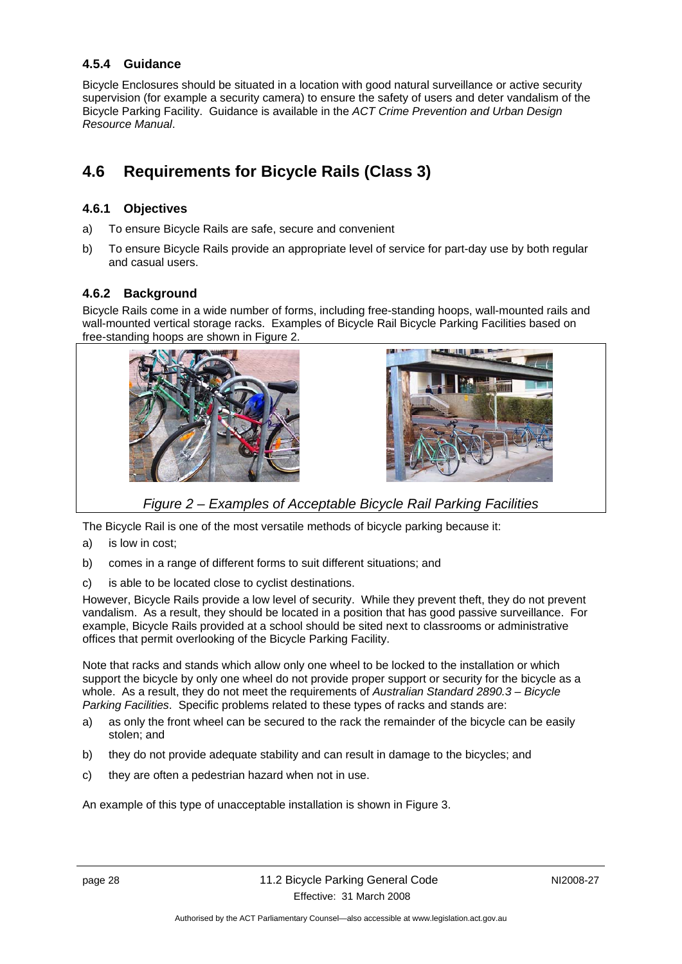### **4.5.4 Guidance**

Bicycle Enclosures should be situated in a location with good natural surveillance or active security supervision (for example a security camera) to ensure the safety of users and deter vandalism of the Bicycle Parking Facility. Guidance is available in the *ACT Crime Prevention and Urban Design Resource Manual*.

# **4.6 Requirements for Bicycle Rails (Class 3)**

#### **4.6.1 Objectives**

- a) To ensure Bicycle Rails are safe, secure and convenient
- b) To ensure Bicycle Rails provide an appropriate level of service for part-day use by both regular and casual users.

### **4.6.2 Background**

Bicycle Rails come in a wide number of forms, including free-standing hoops, wall-mounted rails and wall-mounted vertical storage racks. Examples of Bicycle Rail Bicycle Parking Facilities based on free-standing hoops are shown in Figure 2.





*Figure 2 – Examples of Acceptable Bicycle Rail Parking Facilities* 

The Bicycle Rail is one of the most versatile methods of bicycle parking because it:

- a) is low in cost;
- b) comes in a range of different forms to suit different situations; and
- c) is able to be located close to cyclist destinations.

However, Bicycle Rails provide a low level of security. While they prevent theft, they do not prevent vandalism. As a result, they should be located in a position that has good passive surveillance. For example, Bicycle Rails provided at a school should be sited next to classrooms or administrative offices that permit overlooking of the Bicycle Parking Facility.

Note that racks and stands which allow only one wheel to be locked to the installation or which support the bicycle by only one wheel do not provide proper support or security for the bicycle as a whole. As a result, they do not meet the requirements of *Australian Standard 2890.3 – Bicycle Parking Facilities*. Specific problems related to these types of racks and stands are:

- a) as only the front wheel can be secured to the rack the remainder of the bicycle can be easily stolen; and
- b) they do not provide adequate stability and can result in damage to the bicycles; and
- c) they are often a pedestrian hazard when not in use.

An example of this type of unacceptable installation is shown in Figure 3.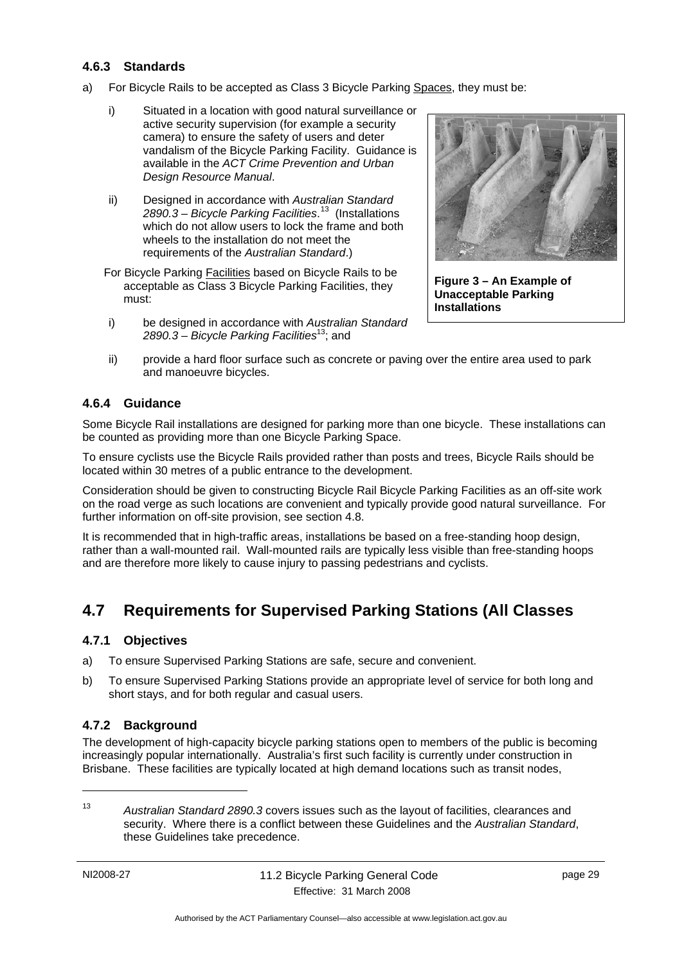### **4.6.3 Standards**

- a) For Bicycle Rails to be accepted as Class 3 Bicycle Parking Spaces, they must be:
	- i) Situated in a location with good natural surveillance or active security supervision (for example a security camera) to ensure the safety of users and deter vandalism of the Bicycle Parking Facility. Guidance is available in the *ACT Crime Prevention and Urban Design Resource Manual*.
	- ii) Designed in accordance with *Australian Standard 2890.3 – Bicycle Parking Facilities*. 13 (Installations which do not allow users to lock the frame and both wheels to the installation do not meet the requirements of the *Australian Standard*.)

For Bicycle Parking Facilities based on Bicycle Rails to be acceptable as Class 3 Bicycle Parking Facilities, they must:

i) be designed in accordance with *Australian Standard 2890.3 – Bicycle Parking Facilities*13; and



**Figure 3 – An Example of Unacceptable Parking Installations** 

ii) provide a hard floor surface such as concrete or paving over the entire area used to park and manoeuvre bicycles.

### **4.6.4 Guidance**

Some Bicycle Rail installations are designed for parking more than one bicycle. These installations can be counted as providing more than one Bicycle Parking Space.

To ensure cyclists use the Bicycle Rails provided rather than posts and trees, Bicycle Rails should be located within 30 metres of a public entrance to the development.

Consideration should be given to constructing Bicycle Rail Bicycle Parking Facilities as an off-site work on the road verge as such locations are convenient and typically provide good natural surveillance. For further information on off-site provision, see section 4.8.

It is recommended that in high-traffic areas, installations be based on a free-standing hoop design, rather than a wall-mounted rail. Wall-mounted rails are typically less visible than free-standing hoops and are therefore more likely to cause injury to passing pedestrians and cyclists.

# **4.7 Requirements for Supervised Parking Stations (All Classes)**

#### **4.7.1 Objectives**

- a) To ensure Supervised Parking Stations are safe, secure and convenient.
- b) To ensure Supervised Parking Stations provide an appropriate level of service for both long and short stays, and for both regular and casual users.

### **4.7.2 Background**

The development of high-capacity bicycle parking stations open to members of the public is becoming increasingly popular internationally. Australia's first such facility is currently under construction in Brisbane. These facilities are typically located at high demand locations such as transit nodes,

<sup>13</sup> *Australian Standard 2890.3* covers issues such as the layout of facilities, clearances and security. Where there is a conflict between these Guidelines and the *Australian Standard*, these Guidelines take precedence.

1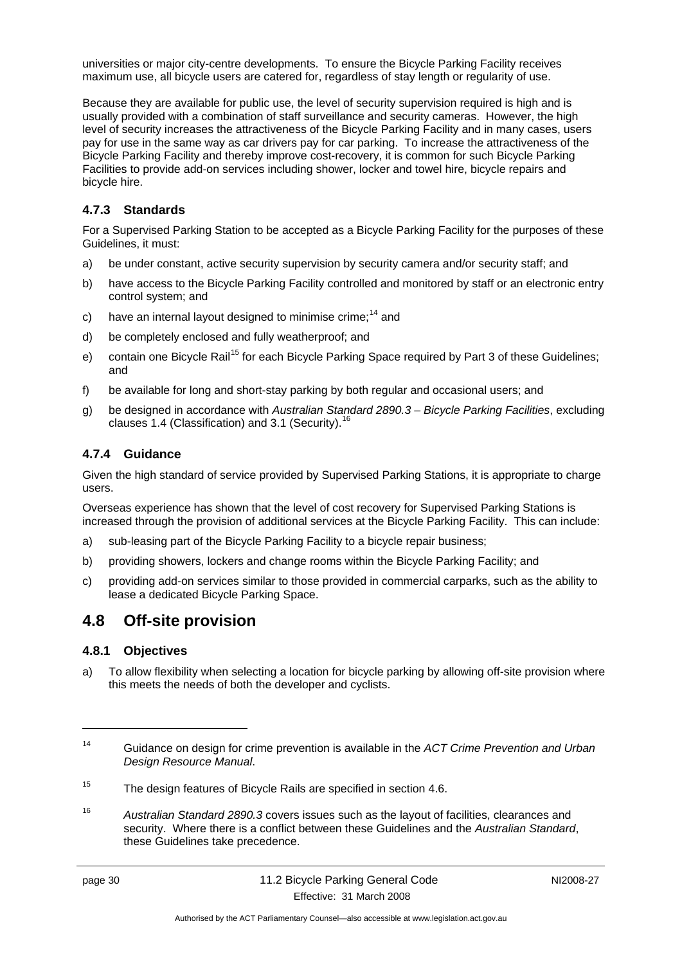universities or major city-centre developments. To ensure the Bicycle Parking Facility receives maximum use, all bicycle users are catered for, regardless of stay length or regularity of use.

Because they are available for public use, the level of security supervision required is high and is usually provided with a combination of staff surveillance and security cameras. However, the high level of security increases the attractiveness of the Bicycle Parking Facility and in many cases, users pay for use in the same way as car drivers pay for car parking. To increase the attractiveness of the Bicycle Parking Facility and thereby improve cost-recovery, it is common for such Bicycle Parking Facilities to provide add-on services including shower, locker and towel hire, bicycle repairs and bicycle hire.

### **4.7.3 Standards**

For a Supervised Parking Station to be accepted as a Bicycle Parking Facility for the purposes of these Guidelines, it must:

- a) be under constant, active security supervision by security camera and/or security staff; and
- b) have access to the Bicycle Parking Facility controlled and monitored by staff or an electronic entry control system; and
- c) have an internal layout designed to minimise crime;<sup>14</sup> and
- d) be completely enclosed and fully weatherproof; and
- e) contain one Bicycle Rail<sup>15</sup> for each Bicycle Parking Space required by Part 3 of these Guidelines; and
- f) be available for long and short-stay parking by both regular and occasional users; and
- g) be designed in accordance with *Australian Standard 2890.3 Bicycle Parking Facilities*, excluding clauses 1.4 (Classification) and 3.1 (Security).<sup>16</sup>

### **4.7.4 Guidance**

Given the high standard of service provided by Supervised Parking Stations, it is appropriate to charge users.

Overseas experience has shown that the level of cost recovery for Supervised Parking Stations is increased through the provision of additional services at the Bicycle Parking Facility. This can include:

- a) sub-leasing part of the Bicycle Parking Facility to a bicycle repair business;
- b) providing showers, lockers and change rooms within the Bicycle Parking Facility; and
- c) providing add-on services similar to those provided in commercial carparks, such as the ability to lease a dedicated Bicycle Parking Space.

### **4.8 Off-site provision**

### **4.8.1 Objectives**

a) To allow flexibility when selecting a location for bicycle parking by allowing off-site provision where this meets the needs of both the developer and cyclists.

16 *Australian Standard 2890.3* covers issues such as the layout of facilities, clearances and security. Where there is a conflict between these Guidelines and the *Australian Standard*, these Guidelines take precedence.

<u>.</u>

<sup>14</sup> Guidance on design for crime prevention is available in the *ACT Crime Prevention and Urban Design Resource Manual*.

<sup>&</sup>lt;sup>15</sup> The design features of Bicycle Rails are specified in section 4.6.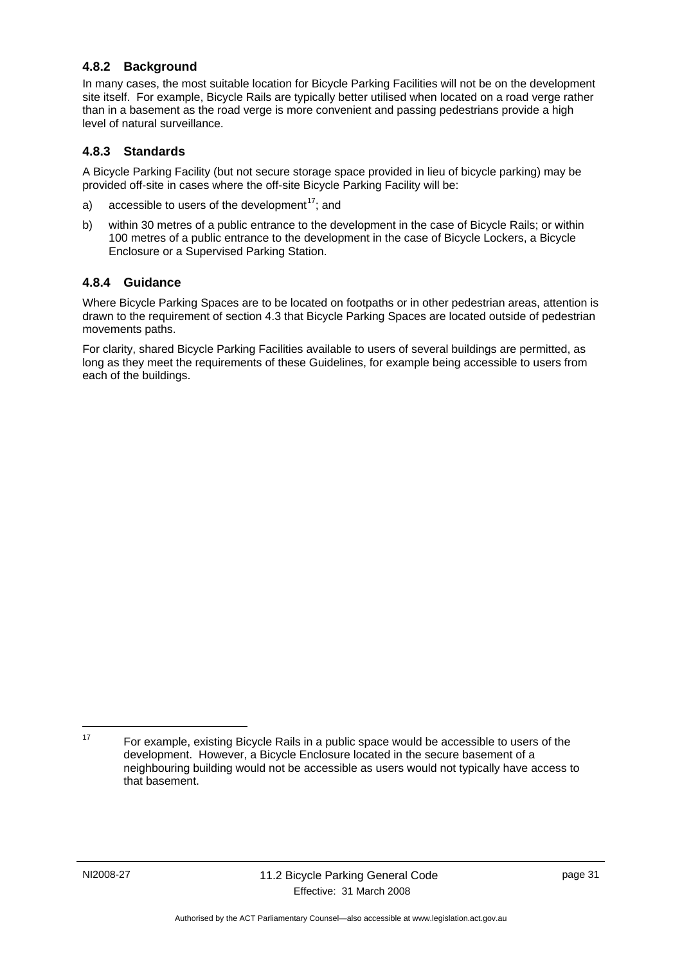### **4.8.2 Background**

In many cases, the most suitable location for Bicycle Parking Facilities will not be on the development site itself. For example, Bicycle Rails are typically better utilised when located on a road verge rather than in a basement as the road verge is more convenient and passing pedestrians provide a high level of natural surveillance.

#### **4.8.3 Standards**

A Bicycle Parking Facility (but not secure storage space provided in lieu of bicycle parking) may be provided off-site in cases where the off-site Bicycle Parking Facility will be:

- a) accessible to users of the development<sup>17</sup>; and
- b) within 30 metres of a public entrance to the development in the case of Bicycle Rails; or within 100 metres of a public entrance to the development in the case of Bicycle Lockers, a Bicycle Enclosure or a Supervised Parking Station.

#### **4.8.4 Guidance**

Where Bicycle Parking Spaces are to be located on footpaths or in other pedestrian areas, attention is drawn to the requirement of section 4.3 that Bicycle Parking Spaces are located outside of pedestrian movements paths.

For clarity, shared Bicycle Parking Facilities available to users of several buildings are permitted, as long as they meet the requirements of these Guidelines, for example being accessible to users from each of the buildings.

1

 $17$  For example, existing Bicycle Rails in a public space would be accessible to users of the development. However, a Bicycle Enclosure located in the secure basement of a neighbouring building would not be accessible as users would not typically have access to that basement.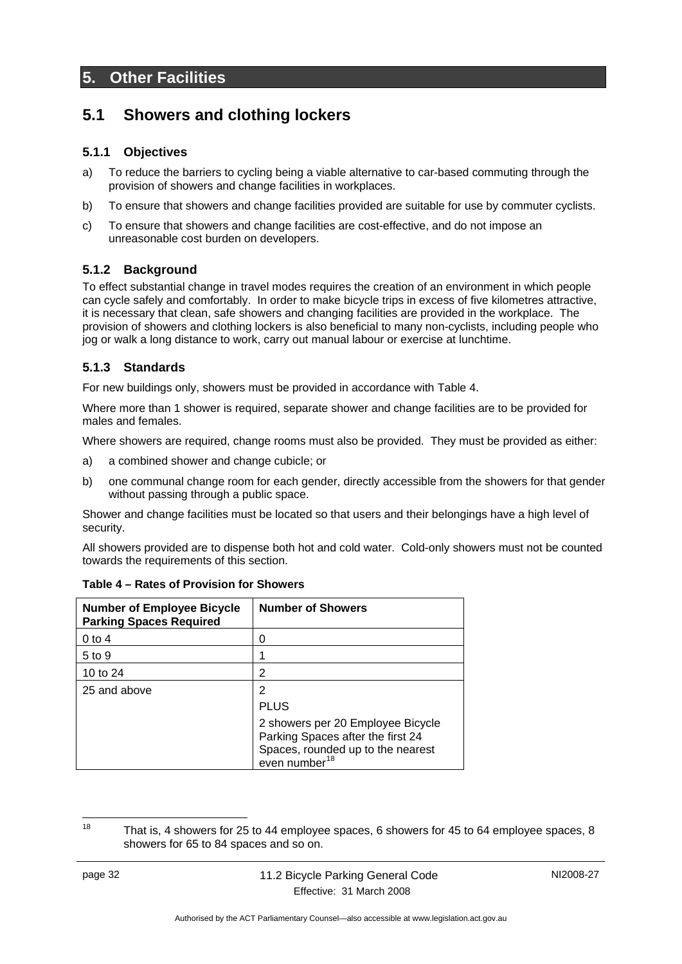### **5. Other Facilities**

### **5.1 Showers and clothing lockers**

### **5.1.1 Objectives**

- a) To reduce the barriers to cycling being a viable alternative to car-based commuting through the provision of showers and change facilities in workplaces.
- b) To ensure that showers and change facilities provided are suitable for use by commuter cyclists.
- c) To ensure that showers and change facilities are cost-effective, and do not impose an unreasonable cost burden on developers.

### **5.1.2 Background**

To effect substantial change in travel modes requires the creation of an environment in which people can cycle safely and comfortably. In order to make bicycle trips in excess of five kilometres attractive, it is necessary that clean, safe showers and changing facilities are provided in the workplace. The provision of showers and clothing lockers is also beneficial to many non-cyclists, including people who jog or walk a long distance to work, carry out manual labour or exercise at lunchtime.

### **5.1.3 Standards**

For new buildings only, showers must be provided in accordance with Table 4.

Where more than 1 shower is required, separate shower and change facilities are to be provided for males and females.

Where showers are required, change rooms must also be provided. They must be provided as either:

- a) a combined shower and change cubicle; or
- b) one communal change room for each gender, directly accessible from the showers for that gender without passing through a public space.

Shower and change facilities must be located so that users and their belongings have a high level of security.

All showers provided are to dispense both hot and cold water. Cold-only showers must not be counted towards the requirements of this section.

| <b>Number of Employee Bicycle</b><br><b>Parking Spaces Required</b> | <b>Number of Showers</b>                                                                                                                 |
|---------------------------------------------------------------------|------------------------------------------------------------------------------------------------------------------------------------------|
| 0 to 4                                                              | 0                                                                                                                                        |
| $5$ to 9                                                            |                                                                                                                                          |
| 10 to 24                                                            | 2                                                                                                                                        |
| 25 and above                                                        | 2                                                                                                                                        |
|                                                                     | <b>PLUS</b>                                                                                                                              |
|                                                                     | 2 showers per 20 Employee Bicycle<br>Parking Spaces after the first 24<br>Spaces, rounded up to the nearest<br>even number <sup>18</sup> |

|  |  | Table 4 – Rates of Provision for Showers |  |
|--|--|------------------------------------------|--|
|  |  |                                          |  |

18 That is, 4 showers for 25 to 44 employee spaces, 6 showers for 45 to 64 employee spaces, 8 showers for 65 to 84 spaces and so on.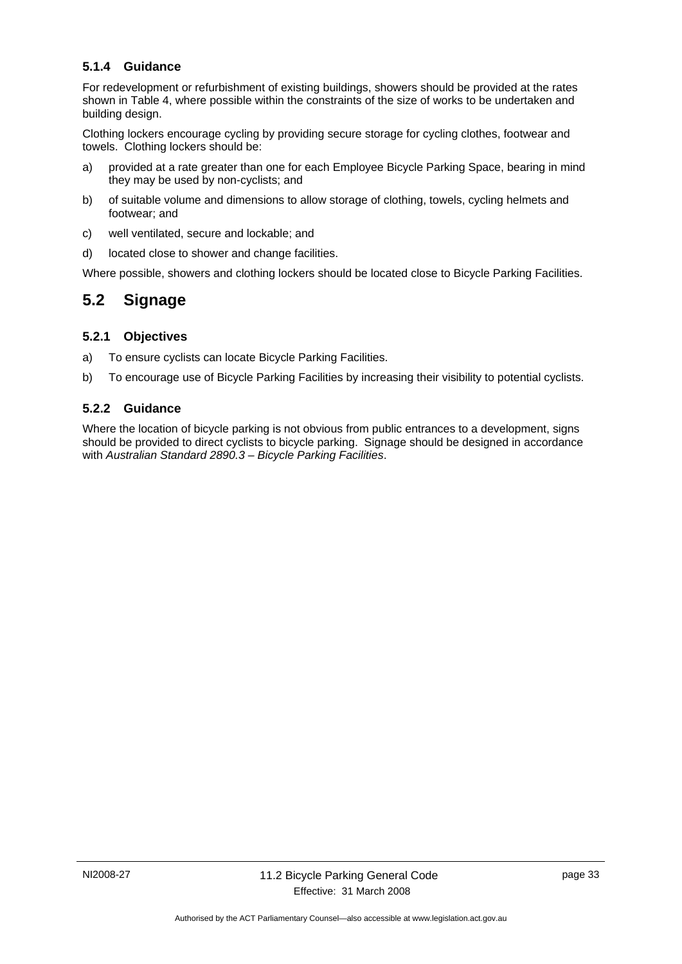### **5.1.4 Guidance**

For redevelopment or refurbishment of existing buildings, showers should be provided at the rates shown in Table 4, where possible within the constraints of the size of works to be undertaken and building design.

Clothing lockers encourage cycling by providing secure storage for cycling clothes, footwear and towels. Clothing lockers should be:

- a) provided at a rate greater than one for each Employee Bicycle Parking Space, bearing in mind they may be used by non-cyclists; and
- b) of suitable volume and dimensions to allow storage of clothing, towels, cycling helmets and footwear; and
- c) well ventilated, secure and lockable; and
- d) located close to shower and change facilities.

Where possible, showers and clothing lockers should be located close to Bicycle Parking Facilities.

### **5.2 Signage**

#### **5.2.1 Objectives**

- a) To ensure cyclists can locate Bicycle Parking Facilities.
- b) To encourage use of Bicycle Parking Facilities by increasing their visibility to potential cyclists.

#### **5.2.2 Guidance**

Where the location of bicycle parking is not obvious from public entrances to a development, signs should be provided to direct cyclists to bicycle parking. Signage should be designed in accordance with *Australian Standard 2890.3 – Bicycle Parking Facilities*.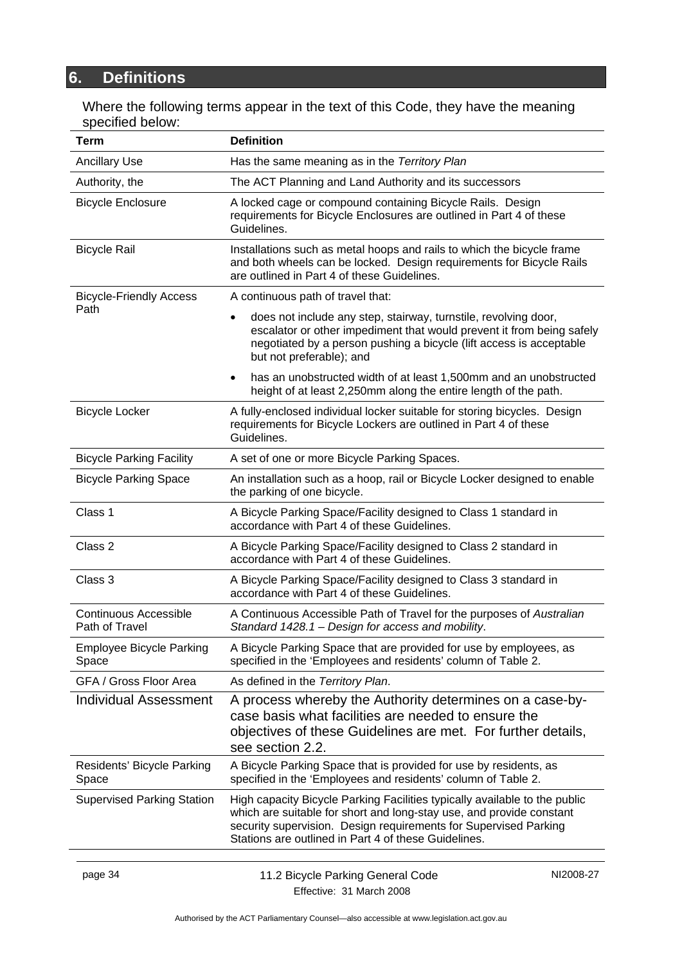# **6. Definitions**

Where the following terms appear in the text of this Code, they have the meaning specified below:

| Term                                           | <b>Definition</b>                                                                                                                                                                                                                                                              |           |  |  |  |  |  |
|------------------------------------------------|--------------------------------------------------------------------------------------------------------------------------------------------------------------------------------------------------------------------------------------------------------------------------------|-----------|--|--|--|--|--|
| <b>Ancillary Use</b>                           | Has the same meaning as in the Territory Plan                                                                                                                                                                                                                                  |           |  |  |  |  |  |
| Authority, the                                 | The ACT Planning and Land Authority and its successors                                                                                                                                                                                                                         |           |  |  |  |  |  |
| <b>Bicycle Enclosure</b>                       | A locked cage or compound containing Bicycle Rails. Design<br>requirements for Bicycle Enclosures are outlined in Part 4 of these<br>Guidelines.                                                                                                                               |           |  |  |  |  |  |
| <b>Bicycle Rail</b>                            | Installations such as metal hoops and rails to which the bicycle frame<br>and both wheels can be locked. Design requirements for Bicycle Rails<br>are outlined in Part 4 of these Guidelines.                                                                                  |           |  |  |  |  |  |
| <b>Bicycle-Friendly Access</b>                 | A continuous path of travel that:                                                                                                                                                                                                                                              |           |  |  |  |  |  |
| Path                                           | does not include any step, stairway, turnstile, revolving door,<br>escalator or other impediment that would prevent it from being safely<br>negotiated by a person pushing a bicycle (lift access is acceptable<br>but not preferable); and                                    |           |  |  |  |  |  |
|                                                | has an unobstructed width of at least 1,500mm and an unobstructed<br>height of at least 2,250mm along the entire length of the path.                                                                                                                                           |           |  |  |  |  |  |
| <b>Bicycle Locker</b>                          | A fully-enclosed individual locker suitable for storing bicycles. Design<br>requirements for Bicycle Lockers are outlined in Part 4 of these<br>Guidelines.                                                                                                                    |           |  |  |  |  |  |
| <b>Bicycle Parking Facility</b>                | A set of one or more Bicycle Parking Spaces.                                                                                                                                                                                                                                   |           |  |  |  |  |  |
| <b>Bicycle Parking Space</b>                   | An installation such as a hoop, rail or Bicycle Locker designed to enable<br>the parking of one bicycle.                                                                                                                                                                       |           |  |  |  |  |  |
| Class 1                                        | A Bicycle Parking Space/Facility designed to Class 1 standard in<br>accordance with Part 4 of these Guidelines.                                                                                                                                                                |           |  |  |  |  |  |
| Class 2                                        | A Bicycle Parking Space/Facility designed to Class 2 standard in<br>accordance with Part 4 of these Guidelines.                                                                                                                                                                |           |  |  |  |  |  |
| Class 3                                        | A Bicycle Parking Space/Facility designed to Class 3 standard in<br>accordance with Part 4 of these Guidelines.                                                                                                                                                                |           |  |  |  |  |  |
| <b>Continuous Accessible</b><br>Path of Travel | A Continuous Accessible Path of Travel for the purposes of Australian<br>Standard 1428.1 - Design for access and mobility.                                                                                                                                                     |           |  |  |  |  |  |
| <b>Employee Bicycle Parking</b><br>Space       | A Bicycle Parking Space that are provided for use by employees, as<br>specified in the 'Employees and residents' column of Table 2.                                                                                                                                            |           |  |  |  |  |  |
| GFA / Gross Floor Area                         | As defined in the Territory Plan.                                                                                                                                                                                                                                              |           |  |  |  |  |  |
| <b>Individual Assessment</b>                   | A process whereby the Authority determines on a case-by-<br>case basis what facilities are needed to ensure the<br>objectives of these Guidelines are met. For further details,<br>see section 2.2.                                                                            |           |  |  |  |  |  |
| Residents' Bicycle Parking<br>Space            | A Bicycle Parking Space that is provided for use by residents, as<br>specified in the 'Employees and residents' column of Table 2.                                                                                                                                             |           |  |  |  |  |  |
| <b>Supervised Parking Station</b>              | High capacity Bicycle Parking Facilities typically available to the public<br>which are suitable for short and long-stay use, and provide constant<br>security supervision. Design requirements for Supervised Parking<br>Stations are outlined in Part 4 of these Guidelines. |           |  |  |  |  |  |
| page 34                                        | 11.2 Bicycle Parking General Code                                                                                                                                                                                                                                              | NI2008-27 |  |  |  |  |  |